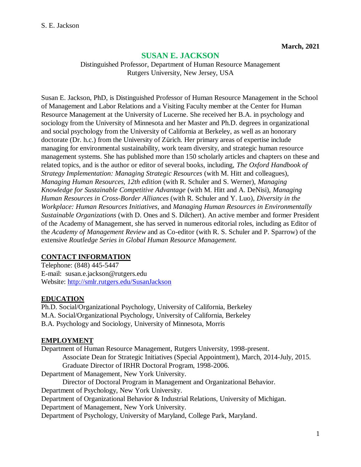# **SUSAN E. JACKSON**

Distinguished Professor, Department of Human Resource Management Rutgers University, New Jersey, USA

Susan E. Jackson, PhD, is Distinguished Professor of Human Resource Management in the School of Management and Labor Relations and a Visiting Faculty member at the Center for Human Resource Management at the University of Lucerne. She received her B.A. in psychology and sociology from the University of Minnesota and her Master and Ph.D. degrees in organizational and social psychology from the University of California at Berkeley, as well as an honorary doctorate (Dr. h.c.) from the University of Zürich. Her primary areas of expertise include managing for environmental sustainability, work team diversity, and strategic human resource management systems. She has published more than 150 scholarly articles and chapters on these and related topics, and is the author or editor of several books, including, *The Oxford Handbook of Strategy Implementation: Managing Strategic Resources* (with M. Hitt and colleagues), *Managing Human Resources, 12th edition* (with R. Schuler and S. Werner), *Managing Knowledge for Sustainable Competitive Advantage* (with M. Hitt and A. DeNisi), *Managing Human Resources in Cross-Border Alliances* (with R. Schuler and Y. Luo), *Diversity in the Workplace: Human Resources Initiatives*, and *Managing Human Resources in Environmentally Sustainable Organizations* (with D. Ones and S. Dilchert). An active member and former President of the Academy of Management, she has served in numerous editorial roles, including as Editor of the *Academy of Management Review* and as Co-editor (with R. S. Schuler and P. Sparrow) of the extensive *Routledge Series in Global Human Resource Management.*

# **CONTACT INFORMATION**

Telephone: (848) 445-5447 E-mail: susan.e.jackson@rutgers.edu Website: <http://smlr.rutgers.edu/SusanJackson>

# **EDUCATION**

Ph.D. Social/Organizational Psychology, University of California, Berkeley M.A. Social/Organizational Psychology, University of California, Berkeley B.A. Psychology and Sociology, University of Minnesota, Morris

# **EMPLOYMENT**

Department of Human Resource Management, Rutgers University, 1998-present. Associate Dean for Strategic Initiatives (Special Appointment), March, 2014-July, 2015. Graduate Director of IRHR Doctoral Program, 1998-2006. Department of Management, New York University. Director of Doctoral Program in Management and Organizational Behavior. Department of Psychology, New York University. Department of Organizational Behavior & Industrial Relations, University of Michigan. Department of Management, New York University. Department of Psychology, University of Maryland, College Park, Maryland.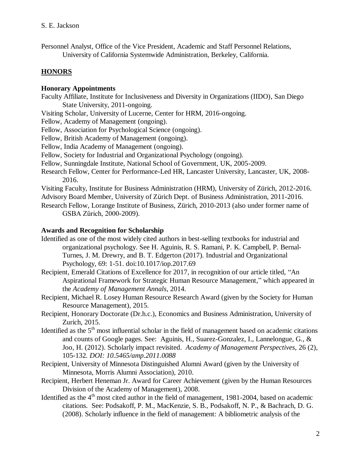Personnel Analyst, Office of the Vice President, Academic and Staff Personnel Relations, University of California Systemwide Administration, Berkeley, California.

# **HONORS**

#### **Honorary Appointments**

- Faculty Affiliate, Institute for Inclusiveness and Diversity in Organizations (IIDO), San Diego State University, 2011-ongoing.
- Visiting Scholar, University of Lucerne, Center for HRM, 2016-ongoing.
- Fellow, Academy of Management (ongoing).
- Fellow, Association for Psychological Science (ongoing).
- Fellow, British Academy of Management (ongoing).
- Fellow, India Academy of Management (ongoing).
- Fellow, Society for Industrial and Organizational Psychology (ongoing).
- Fellow, Sunningdale Institute, National School of Government, UK, 2005-2009.
- Research Fellow, Center for Performance-Led HR, Lancaster University, Lancaster, UK, 2008- 2016.
- Visiting Faculty, Institute for Business Administration (HRM), University of Zürich, 2012-2016.
- Advisory Board Member, University of Zürich Dept. of Business Administration, 2011-2016.
- Research Fellow, Lorange Institute of Business, Zürich, 2010-2013 (also under former name of GSBA Zűrich, 2000-2009).

#### **Awards and Recognition for Scholarship**

- Identified as one of the most widely cited authors in best-selling textbooks for industrial and organizational psychology. See H. Aguinis, R. S. Ramani, P. K. Campbell, P. Bernal-Turnes, J. M. Drewry, and B. T. Edgerton (2017). Industrial and Organizational Psychology, 69: 1-51. doi:10.1017/iop.2017.69
- Recipient, Emerald Citations of Excellence for 2017, in recognition of our article titled, "An Aspirational Framework for Strategic Human Resource Management," which appeared in the *Academy of Management Annals*, 2014.
- Recipient, Michael R. Losey Human Resource Research Award (given by the Society for Human Resource Management), 2015.
- Recipient, Honorary Doctorate (Dr.h.c.), Economics and Business Administration, University of Zurich, 2015.
- Identified as the  $5<sup>th</sup>$  most influential scholar in the field of management based on academic citations and counts of Google pages. See: Aguinis, H., Suarez-Gonzalez, I., Lannelongue, G., & Joo, H. (2012). Scholarly impact revisited. *Academy of Management Perspectives,* 26 (2), 105-132*. DOI: 10.5465/amp.2011.0088*
- Recipient, University of Minnesota Distinguished Alumni Award (given by the University of Minnesota, Morris Alumni Association), 2010.
- Recipient, Herbert Heneman Jr. Award for Career Achievement (given by the Human Resources Division of the Academy of Management), 2008.
- Identified as the  $4<sup>th</sup>$  most cited author in the field of management, 1981-2004, based on academic citations. See: Podsakoff, P. M., MacKenzie, S. B., Podsakoff, N. P., & Bachrach, D. G. (2008). Scholarly influence in the field of management: A bibliometric analysis of the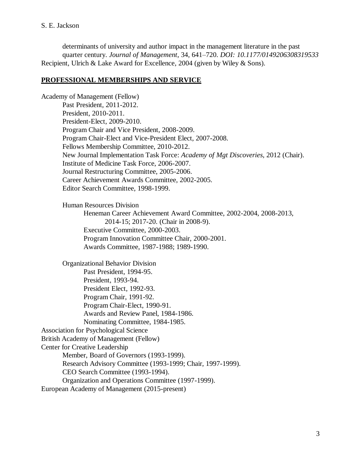determinants of university and author impact in the management literature in the past quarter century. *Journal of Management*, 34, 641–720. *DOI: 10.1177/0149206308319533* Recipient, Ulrich & Lake Award for Excellence, 2004 (given by Wiley & Sons).

# **PROFESSIONAL MEMBERSHIPS AND SERVICE**

Academy of Management (Fellow) Past President, 2011-2012. President, 2010-2011. President-Elect, 2009-2010. Program Chair and Vice President, 2008-2009. Program Chair-Elect and Vice-President Elect, 2007-2008. Fellows Membership Committee, 2010-2012. New Journal Implementation Task Force: *Academy of Mgt Discoveries*, 2012 (Chair). Institute of Medicine Task Force, 2006-2007. Journal Restructuring Committee, 2005-2006. Career Achievement Awards Committee, 2002-2005. Editor Search Committee, 1998-1999. Human Resources Division Heneman Career Achievement Award Committee, 2002-2004, 2008-2013, 2014-15; 2017-20. (Chair in 2008-9). Executive Committee, 2000-2003. Program Innovation Committee Chair, 2000-2001. Awards Committee, 1987-1988; 1989-1990. Organizational Behavior Division Past President, 1994-95. President, 1993-94. President Elect, 1992-93. Program Chair, 1991-92. Program Chair-Elect, 1990-91. Awards and Review Panel, 1984-1986. Nominating Committee, 1984-1985. Association for Psychological Science British Academy of Management (Fellow) Center for Creative Leadership Member, Board of Governors (1993-1999). Research Advisory Committee (1993-1999; Chair, 1997-1999). CEO Search Committee (1993-1994). Organization and Operations Committee (1997-1999). European Academy of Management (2015-present)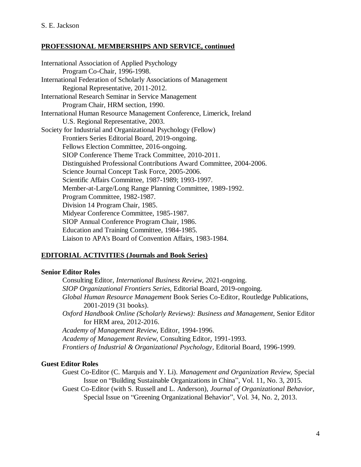# **PROFESSIONAL MEMBERSHIPS AND SERVICE, continued**

International Association of Applied Psychology Program Co-Chair, 1996-1998. International Federation of Scholarly Associations of Management Regional Representative, 2011-2012. International Research Seminar in Service Management Program Chair, HRM section, 1990. International Human Resource Management Conference, Limerick, Ireland U.S. Regional Representative, 2003. Society for Industrial and Organizational Psychology (Fellow) Frontiers Series Editorial Board, 2019-ongoing. Fellows Election Committee, 2016-ongoing. SIOP Conference Theme Track Committee, 2010-2011. Distinguished Professional Contributions Award Committee, 2004-2006. Science Journal Concept Task Force, 2005-2006. Scientific Affairs Committee, 1987-1989; 1993-1997. Member-at-Large/Long Range Planning Committee, 1989-1992. Program Committee, 1982-1987. Division 14 Program Chair, 1985. Midyear Conference Committee, 1985-1987. SIOP Annual Conference Program Chair, 1986. Education and Training Committee, 1984-1985. Liaison to APA's Board of Convention Affairs, 1983-1984.

# **EDITORIAL ACTIVITIES (Journals and Book Series)**

#### **Senior Editor Roles**

Consulting Editor, *International Business Review,* 2021-ongoing. *SIOP Organizational Frontiers Series,* Editorial Board, 2019-ongoing. *Global Human Resource Management* Book Series Co-Editor, Routledge Publications, 2001-2019 (31 books). *Oxford Handbook Online (Scholarly Reviews): Business and Management,* Senior Editor for HRM area, 2012-2016. *Academy of Management Review*, Editor, 1994-1996. *Academy of Management Review*, Consulting Editor, 1991-1993.

*Frontiers of Industrial & Organizational Psychology,* Editorial Board, 1996-1999.

#### **Guest Editor Roles**

Guest Co-Editor (C. Marquis and Y. Li). *Management and Organization Review,* Special Issue on "Building Sustainable Organizations in China", Vol. 11, No. 3, 2015.

Guest Co-Editor (with S. Russell and L. Anderson), *Journal of Organizational Behavior*, Special Issue on "Greening Organizational Behavior", Vol. 34, No. 2, 2013.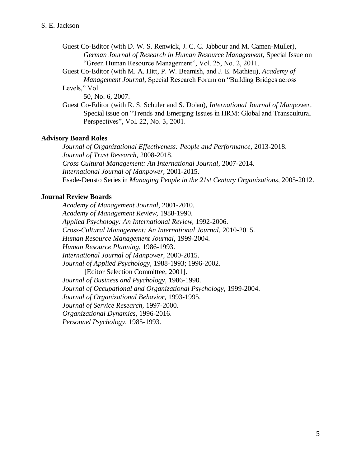- Guest Co-Editor (with D. W. S. Renwick, J. C. C. Jabbour and M. Camen-Muller), *German Journal of Research in Human Resource Management*, Special Issue on "Green Human Resource Management", Vol. 25, No. 2, 2011.
- Guest Co-Editor (with M. A. Hitt, P. W. Beamish, and J. E. Mathieu), *Academy of Management Journal,* Special Research Forum on "Building Bridges across Levels," Vol.

50, No. 6, 2007.

Guest Co-Editor (with R. S. Schuler and S. Dolan), *International Journal of Manpower,* Special issue on "Trends and Emerging Issues in HRM: Global and Transcultural Perspectives", Vol. 22, No. 3, 2001.

#### **Advisory Board Roles**

*Journal of Organizational Effectiveness: People and Performance,* 2013-2018. *Journal of Trust Research,* 2008-2018. *Cross Cultural Management: An International Journal*, 2007-2014. *International Journal of Manpower,* 2001-2015. Esade-Deusto Series in *Managing People in the 21st Century Organizations*, 2005-2012.

#### **Journal Review Boards**

*Academy of Management Journal,* 2001-2010. *Academy of Management Review,* 1988-1990. *Applied Psychology: An International Review,* 1992-2006. *Cross-Cultural Management: An International Journal,* 2010-2015. *Human Resource Management Journal*, 1999-2004. *Human Resource Planning,* 1986-1993. *International Journal of Manpower,* 2000-2015. *Journal of Applied Psychology,* 1988-1993; 1996-2002. [Editor Selection Committee, 2001]. *Journal of Business and Psychology,* 1986-1990. *Journal of Occupational and Organizational Psychology,* 1999-2004. *Journal of Organizational Behavior,* 1993-1995. *Journal of Service Research,* 1997-2000. *Organizational Dynamics,* 1996-2016. *Personnel Psychology,* 1985-1993.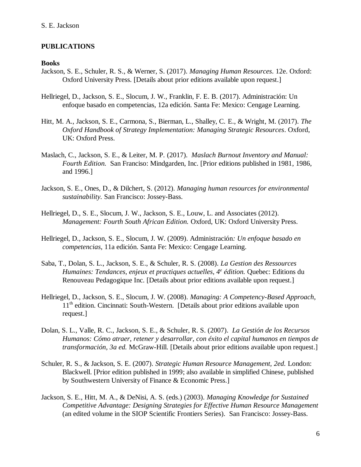#### **PUBLICATIONS**

#### **Books**

- Jackson, S. E., Schuler, R. S., & Werner, S. (2017). *Managing Human Resources*. 12e. Oxford: Oxford University Press. [Details about prior editions available upon request.]
- Hellriegel, D., Jackson, S. E., Slocum, J. W., Franklin, F. E. B. (2017). Administración: Un enfoque basado en competencias, 12a edición. Santa Fe: Mexico: Cengage Learning.
- Hitt, M. A., Jackson, S. E., Carmona, S., Bierman, L., Shalley, C. E., & Wright, M. (2017). *The Oxford Handbook of Strategy Implementation: Managing Strategic Resources*. Oxford, UK: Oxford Press.
- Maslach, C., Jackson, S. E., & Leiter, M. P. (2017). *Maslach Burnout Inventory and Manual: Fourth Edition.* San Franciso: Mindgarden, Inc. [Prior editions published in 1981, 1986, and 1996.]
- Jackson, S. E., Ones, D., & Dilchert, S. (2012). *Managing human resources for environmental sustainability.* San Francisco: Jossey-Bass.
- Hellriegel, D., S. E., Slocum, J. W., Jackson, S. E., Louw, L. and Associates (2012). *Management: Fourth South African Edition.* Oxford, UK: Oxford University Press.
- Hellriegel, D., Jackson, S. E., Slocum, J. W. (2009). Administración*: Un enfoque basado en competencias*, 11a edición. Santa Fe: Mexico: Cengage Learning.
- Saba, T., Dolan, S. L., Jackson, S. E., & Schuler, R. S. (2008). *La Gestion des Ressources Humaines: Tendances, enjeux et practiques actuelles, 4<sup>e</sup> édition.* Quebec: Editions du Renouveau Pedagogique Inc. [Details about prior editions available upon request.]
- Hellriegel, D., Jackson, S. E., Slocum, J. W. (2008). *Managing: A Competency-Based Approach*, 11<sup>th</sup> edition. Cincinnati: South-Western. [Details about prior editions available upon request.]
- Dolan, S. L., Valle, R. C., Jackson, S. E., & Schuler, R. S. (2007). *La Gestión de los Recursos Humanos: Cómo atraer, retener y desarrollar, con éxito el capital humanos en tiempos de transformación, 3a ed.* McGraw-Hill. [Details about prior editions available upon request.]
- Schuler, R. S., & Jackson, S. E. (2007). *Strategic Human Resource Management, 2ed.* London: Blackwell. [Prior edition published in 1999; also available in simplified Chinese, published by Southwestern University of Finance & Economic Press.]
- Jackson, S. E., Hitt, M. A., & DeNisi, A. S. (eds.) (2003). *Managing Knowledge for Sustained Competitive Advantage: Designing Strategies for Effective Human Resource Management* (an edited volume in the SIOP Scientific Frontiers Series). San Francisco: Jossey-Bass.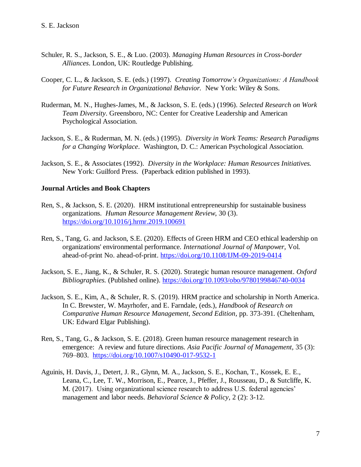- Schuler, R. S., Jackson, S. E., & Luo. (2003). *Managing Human Resources in Cross-border Alliances*. London, UK: Routledge Publishing.
- Cooper, C. L., & Jackson, S. E. (eds.) (1997). *Creating Tomorrow's Organizations: A Handbook for Future Research in Organizational Behavior.* New York: Wiley & Sons.
- Ruderman, M. N., Hughes-James, M., & Jackson, S. E. (eds.) (1996). *Selected Research on Work Team Diversity*. Greensboro, NC: Center for Creative Leadership and American Psychological Association.
- Jackson, S. E., & Ruderman, M. N. (eds.) (1995). *Diversity in Work Teams: Research Paradigms for a Changing Workplace*. Washington, D. C.: American Psychological Association.
- Jackson, S. E., & Associates (1992). *Diversity in the Workplace: Human Resources Initiatives.* New York: Guilford Press. (Paperback edition published in 1993).

#### **Journal Articles and Book Chapters**

- Ren, S., & Jackson, S. E. (2020). HRM institutional entrepreneurship for sustainable business organizations. *Human Resource Management Review*, 30 (3). <https://doi.org/10.1016/j.hrmr.2019.100691>
- Ren, S., Tang, G. and Jackson, S.E. (2020). Effects of Green HRM and CEO ethical leadership on organizations' environmental performance*. International Journal of Manpower,* Vol. ahead-of-print No. ahead-of-print.<https://doi.org/10.1108/IJM-09-2019-0414>
- Jackson, S. E., Jiang, K., & Schuler, R. S. (2020). Strategic human resource management. *Oxford Bibliographies.* (Published online).<https://doi.org/10.1093/obo/9780199846740-0034>
- Jackson, S. E., Kim, A., & Schuler, R. S. (2019). HRM practice and scholarship in North America. In C. Brewster, W. Mayrhofer, and E. Farndale, (eds.), *Handbook of Research on Comparative Human Resource Management, Second Edition,* pp. 373-391*.* (Cheltenham, UK: Edward Elgar Publishing).
- Ren, S., Tang, G., & Jackson, S. E. (2018). Green human resource management research in emergence: A review and future directions. *Asia Pacific Journal of Management,* 35 (3): 769–803. <https://doi.org/10.1007/s10490-017-9532-1>
- Aguinis, H. Davis, J., Detert, J. R., Glynn, M. A., Jackson, S. E., Kochan, T., Kossek, E. E., Leana, C., Lee, T. W., Morrison, E., Pearce, J., Pfeffer, J., Rousseau, D., & Sutcliffe, K. M. (2017). Using organizational science research to address U.S. federal agencies' management and labor needs. *Behavioral Science & Policy,* 2 (2): 3-12.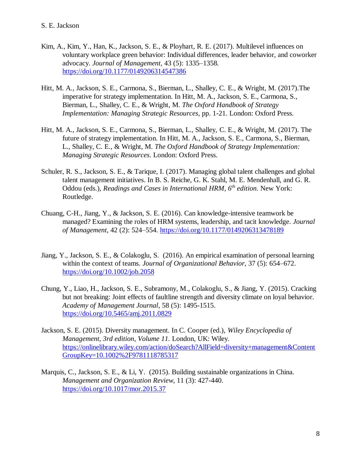- Kim, A., Kim, Y., Han, K., Jackson, S. E., & Ployhart, R. E. (2017). Multilevel influences on voluntary workplace green behavior: Individual differences, leader behavior, and coworker advocacy. *Journal of Management,* 43 (5): 1335–1358*.* <https://doi.org/10.1177/0149206314547386>
- Hitt, M. A., Jackson, S. E., Carmona, S., Bierman, L., Shalley, C. E., & Wright, M. (2017).The imperative for strategy implementation. In Hitt, M. A., Jackson, S. E., Carmona, S., Bierman, L., Shalley, C. E., & Wright, M. *The Oxford Handbook of Strategy Implementation: Managing Strategic Resources*, pp. 1-21. London: Oxford Press.
- Hitt, M. A., Jackson, S. E., Carmona, S., Bierman, L., Shalley, C. E., & Wright, M. (2017). The future of strategy implementation. In Hitt, M. A., Jackson, S. E., Carmona, S., Bierman, L., Shalley, C. E., & Wright, M. *The Oxford Handbook of Strategy Implementation: Managing Strategic Resources*. London: Oxford Press.
- Schuler, R. S., Jackson, S. E., & Tarique, I. (2017). Managing global talent challenges and global talent management initiatives. In B. S. Reiche, G. K. Stahl, M. E. Mendenhall, and G. R. Oddou (eds.), *Readings and Cases in International HRM, 6th edition.* New York: Routledge.
- Chuang, C-H., Jiang, Y., & Jackson, S. E. (2016). Can knowledge-intensive teamwork be managed? Examining the roles of HRM systems, leadership, and tacit knowledge. *Journal of Management,* 42 (2): 524–554. <https://doi.org/10.1177/0149206313478189>
- Jiang, Y., Jackson, S. E., & Colakoglu, S. (2016). An empirical examination of personal learning within the context of teams. *Journal of Organizational Behavior,* 37 (5): 654–672. <https://doi.org/10.1002/job.2058>
- Chung, Y., Liao, H., Jackson, S. E., Subramony, M., Colakoglu, S., & Jiang, Y. (2015). Cracking but not breaking: Joint effects of faultline strength and diversity climate on loyal behavior. *Academy of Management Journal*, 58 (5): 1495-1515. <https://doi.org/10.5465/amj.2011.0829>
- Jackson, S. E. (2015). Diversity management. In C. Cooper (ed.), *Wiley Encyclopedia of Management, 3rd edition, Volume 11.* London, UK: Wiley. [https://onlinelibrary.wiley.com/action/doSearch?AllField=diversity+management&Content](https://onlinelibrary.wiley.com/action/doSearch?AllField=diversity+management&ContentGroupKey=10.1002%2F9781118785317) [GroupKey=10.1002%2F9781118785317](https://onlinelibrary.wiley.com/action/doSearch?AllField=diversity+management&ContentGroupKey=10.1002%2F9781118785317)
- Marquis, C., Jackson, S. E., & Li, Y. (2015). Building sustainable organizations in China. *Management and Organization Review*, 11 (3): 427-440. <https://doi.org/10.1017/mor.2015.37>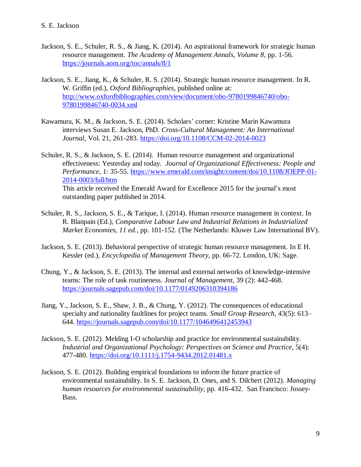- Jackson, S. E., Schuler, R. S., & Jiang, K. (2014). An aspirational framework for strategic human resource management. *The Academy of Management Annals, Volume 8*, pp. 1-56. <https://journals.aom.org/toc/annals/8/1>
- Jackson, S. E., Jiang, K., & Schuler, R. S. (2014). Strategic human resource management. In R. W. Griffin (ed.), *Oxford Bibliographies*, published online at: [http://www.oxfordbibliographies.com/view/document/obo-9780199846740/obo-](http://www.oxfordbibliographies.com/view/document/obo-9780199846740/obo-9780199846740-0034.xml)[9780199846740-0034.xml](http://www.oxfordbibliographies.com/view/document/obo-9780199846740/obo-9780199846740-0034.xml)
- Kawamura, K. M., & Jackson, S. E. (2014). Scholars' corner: Kristine Marin Kawamura interviews Susan E. Jackson, PhD. *Cross-Cultural Management: An International Journal*, Vol. 21, 261-283. <https://doi.org/10.1108/CCM-02-2014-0023>
- Schuler, R. S., & Jackson, S. E. (2014). Human resource management and organizational effectiveness: Yesterday and today. *Journal of Organizational Effectiveness: People and Performance,* 1: 35-55. [https://www.emerald.com/insight/content/doi/10.1108/JOEPP-01-](https://www.emerald.com/insight/content/doi/10.1108/JOEPP-01-2014-0003/full/htm) [2014-0003/full/htm](https://www.emerald.com/insight/content/doi/10.1108/JOEPP-01-2014-0003/full/htm) This article received the Emerald Award for Excellence 2015 for the journal's most outstanding paper published in 2014.
- Schuler, R. S., Jackson, S. E., & Tarique, I. (2014). Human resource management in context. In R. Blanpain (Ed.), *Comparative Labour Law and Industrial Relations in Industrialized Market Economies, 11 ed.*, pp. 101-152. (The Netherlands: Kluwer Law International BV).
- Jackson, S. E. (2013). Behavioral perspective of strategic human resource management. In E H. Kessler (ed.), *Encyclopedia of Management Theory*, pp. 66-72. London, UK: Sage.
- Chung, Y., & Jackson, S. E. (2013). The internal and external networks of knowledge-intensive teams: The role of task routineness. *Journal of Management,* 39 (2): 442-468. <https://journals.sagepub.com/doi/10.1177/0149206310394186>
- Jiang, Y., Jackson, S. E., Shaw, J. B., & Chung, Y. (2012). The consequences of educational specialty and nationality faultlines for project teams. *Small Group Research,* 43(5): 613– 644. <https://journals.sagepub.com/doi/10.1177/1046496412453943>
- Jackson, S. E. (2012). Melding I-O scholarship and practice for environmental sustainability. *Industrial and Organizational Psychology: Perspectives on Science and Practice*, 5(4): 477-480. <https://doi.org/10.1111/j.1754-9434.2012.01481.x>
- Jackson, S. E. (2012). Building empirical foundations to inform the future practice of environmental sustainability. In S. E. Jackson, D. Ones, and S. Dilchert (2012). *Managing human resources for environmental sustainability*, pp. 416-432. San Francisco: Jossey-Bass.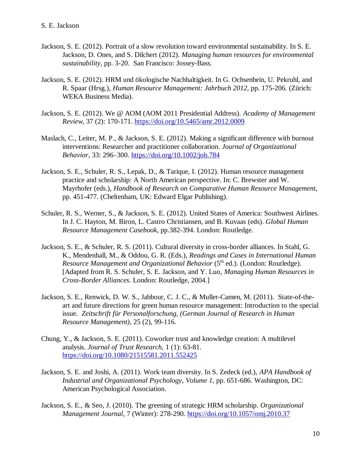- Jackson, S. E. (2012). Portrait of a slow revolution toward environmental sustainability. In S. E. Jackson, D. Ones, and S. Dilchert (2012). *Managing human resources for environmental sustainability*, pp. 3-20. San Francisco: Jossey-Bass.
- Jackson, S. E. (2012). HRM und ökologische Nachhaltigkeit. In G. Ochsenbein, U. Pekruhl, and R. Spaar (Hrsg.), *Human Resource Management: Jahrbuch 2012,* pp. 175-206*.* (Zürich: WEKA Business Media).
- Jackson, S. E. (2012). We @ AOM (AOM 2011 Presidential Address). *Academy of Management Review*, 37 (2): 170-171.<https://doi.org/10.5465/amr.2012.0009>
- Maslach, C., Leiter, M. P., & Jackson, S. E. (2012). Making a significant difference with burnout interventions: Researcher and practitioner collaboration. *Journal of Organizational Behavior,* 33: 296–300. <https://doi.org/10.1002/job.784>
- Jackson, S. E., Schuler, R. S., Lepak, D., & Tarique, I. (2012). Human resource management practice and scholarship: A North American perspective. In: C. Brewster and W. Mayrhofer (eds.), *Handbook of Research on Comparative Human Resource Management*, pp. 451-477*.* (Cheltenham, UK: Edward Elgar Publishing).
- Schuler, R. S., Werner, S., & Jackson, S. E. (2012). United States of America: Southwest Airlines. In J. C. Hayton, M. Biron, L. Castro Christiansen, and B. Kuvaas (eds). *Global Human Resource Management Casebook*, pp.382-394. London: Routledge.
- Jackson, S. E., & Schuler, R. S. (2011). Cultural diversity in cross-border alliances. In Stahl, G. K., Mendenhall, M., & Oddou, G. R. (Eds.), *Readings and Cases in International Human Resource Management and Organizational Behavior* (5<sup>th</sup> ed.). (London: Routledge). [Adapted from R. S. Schuler, S. E. Jackson, and Y. Luo, *Managing Human Resources in Cross-Border Alliances.* London: Routledge, 2004.]
- Jackson, S. E., Renwick, D. W. S., Jabbour, C. J. C., & Muller-Camen, M. (2011). State-of-theart and future directions for green human resource management: Introduction to the special issue. *Zeitschrift für Personalforschung, (German Journal of Research in Human Resource Management),* 25 (2), 99-116.
- Chung, Y., & Jackson, S. E. (2011). Coworker trust and knowledge creation: A multilevel analysis. *Journal of Trust Research,* 1 (1): 63-81. <https://doi.org/10.1080/21515581.2011.552425>
- Jackson, S. E. and Joshi, A. (2011). Work team diversity. In S. Zedeck (ed.), *APA Handbook of Industrial and Organizational Psychology, Volume 1,* pp. 651-686. Washington, DC: American Psychological Association.
- Jackson, S. E., & Seo, J. (2010). The greening of strategic HRM scholarship. *Organizational Management Journal*, 7 (Winter): 278-290. <https://doi.org/10.1057/omj.2010.37>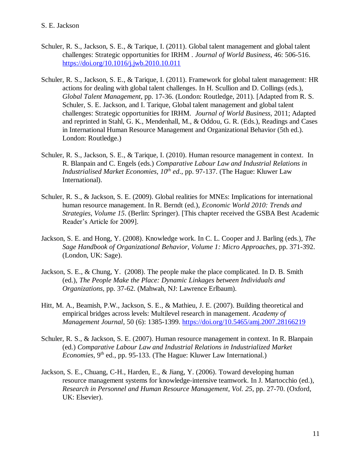- Schuler, R. S., Jackson, S. E., & Tarique, I. (2011). Global talent management and global talent challenges: Strategic opportunities for IRHM . *Journal of World Business*, 46: 506-516. <https://doi.org/10.1016/j.jwb.2010.10.011>
- Schuler, R. S., Jackson, S. E., & Tarique, I. (2011). Framework for global talent management: HR actions for dealing with global talent challenges. In H. Scullion and D. Collings (eds.), *Global Talent Management*, pp. 17-36. (London: Routledge, 2011). [Adapted from R. S. Schuler, S. E. Jackson, and I. Tarique, Global talent management and global talent challenges: Strategic opportunities for IRHM. *Journal of World Business,* 2011; Adapted and reprinted in Stahl, G. K., Mendenhall, M., & Oddou, G. R. (Eds.), Readings and Cases in International Human Resource Management and Organizational Behavior (5th ed.). London: Routledge.)
- Schuler, R. S., Jackson, S. E., & Tarique, I. (2010). Human resource management in context. In R. Blanpain and C. Engels (eds.) *Comparative Labour Law and Industrial Relations in Industrialised Market Economies*, *10th ed*., pp. 97-137. (The Hague: Kluwer Law International).
- Schuler, R. S., & Jackson, S. E. (2009). Global realities for MNEs: Implications for international human resource management. In R. Berndt (ed.), *Economic World 2010: Trends and Strategies, Volume 15*. (Berlin: Springer). [This chapter received the GSBA Best Academic Reader's Article for 2009].
- Jackson, S. E. and Hong, Y. (2008). Knowledge work. In C. L. Cooper and J. Barling (eds.), *The Sage Handbook of Organizational Behavior, Volume 1: Micro Approaches*, pp. 371-392. (London, UK: Sage).
- Jackson, S. E., & Chung, Y. (2008). The people make the place complicated. In D. B. Smith (ed.), *The People Make the Place: Dynamic Linkages between Individuals and Organizations,* pp. 37-62. (Mahwah, NJ: Lawrence Erlbaum).
- Hitt, M. A., Beamish, P.W., Jackson, S. E., & Mathieu, J. E. (2007). Building theoretical and empirical bridges across levels: Multilevel research in management. *Academy of Management Journal,* 50 (6): 1385-1399.<https://doi.org/10.5465/amj.2007.28166219>
- Schuler, R. S., & Jackson, S. E. (2007). Human resource management in context. In R. Blanpain (ed.) *Comparative Labour Law and Industrial Relations in Industrialized Market Economies*, 9<sup>th</sup> ed., pp. 95-133. (The Hague: Kluwer Law International.)
- Jackson, S. E., Chuang, C-H., Harden, E., & Jiang, Y. (2006). Toward developing human resource management systems for knowledge-intensive teamwork. In J. Martocchio (ed.), *Research in Personnel and Human Resource Management, Vol. 25*, pp. 27-70. (Oxford, UK: Elsevier).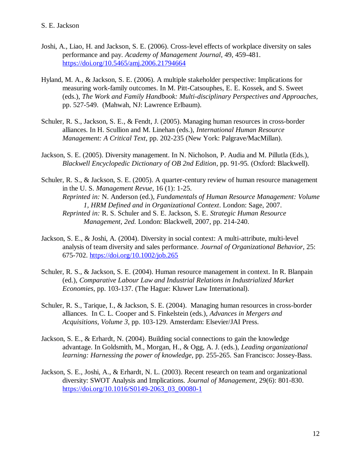- Joshi, A., Liao, H. and Jackson, S. E. (2006). Cross-level effects of workplace diversity on sales performance and pay. *Academy of Management Journal*, 49, 459-481. <https://doi.org/10.5465/amj.2006.21794664>
- Hyland, M. A., & Jackson, S. E. (2006). A multiple stakeholder perspective: Implications for measuring work-family outcomes. In M. Pitt-Catsouphes, E. E. Kossek, and S. Sweet (eds.), *The Work and Family Handbook: Multi-disciplinary Perspectives and Approaches,* pp. 527-549. (Mahwah, NJ: Lawrence Erlbaum).
- Schuler, R. S., Jackson, S. E., & Fendt, J. (2005). Managing human resources in cross-border alliances. In H. Scullion and M. Linehan (eds.), *International Human Resource Management: A Critical Text*, pp. 202-235 (New York: Palgrave/MacMillan).
- Jackson, S. E. (2005). Diversity management. In N. Nicholson, P. Audia and M. Pillutla (Eds.), *Blackwell Encyclopedic Dictionary of OB 2nd Edition*, pp. 91-95*.* (Oxford: Blackwell).
- Schuler, R. S., & Jackson, S. E. (2005). A quarter-century review of human resource management in the U. S. *Management Revue*, 16 (1): 1-25. *Reprinted in:* N. Anderson (ed.), *Fundamentals of Human Resource Management: Volume 1, HRM Defined and in Organizational Context*. London: Sage, 2007. *Reprinted in:* R. S. Schuler and S. E. Jackson, S. E. *Strategic Human Resource Management, 2ed.* London: Blackwell, 2007, pp. 214-240.
- Jackson, S. E., & Joshi, A. (2004). Diversity in social context: A multi-attribute, multi-level analysis of team diversity and sales performance. *Journal of Organizational Behavior,* 25: 675-702. <https://doi.org/10.1002/job.265>
- Schuler, R. S., & Jackson, S. E. (2004). Human resource management in context. In R. Blanpain (ed.), *Comparative Labour Law and Industrial Relations in Industrialized Market Economies*, pp. 103-137. (The Hague: Kluwer Law International).
- Schuler, R. S., Tarique, I., & Jackson, S. E. (2004). Managing human resources in cross-border alliances. In C. L. Cooper and S. Finkelstein (eds.), *Advances in Mergers and Acquisitions, Volume 3*, pp. 103-129. Amsterdam: Elsevier/JAI Press.
- Jackson, S. E., & Erhardt, N. (2004). Building social connections to gain the knowledge advantage. In Goldsmith, M., Morgan, H., & Ogg, A. J. (eds.), *Leading organizational learning: Harnessing the power of knowledge*, pp. 255-265. San Francisco: Jossey-Bass.
- Jackson, S. E., Joshi, A., & Erhardt, N. L. (2003). Recent research on team and organizational diversity: SWOT Analysis and Implications. *Journal of Management,* 29(6): 801-830. [https://doi.org/10.1016/S0149-2063\\_03\\_00080-1](https://doi.org/10.1016/S0149-2063_03_00080-1)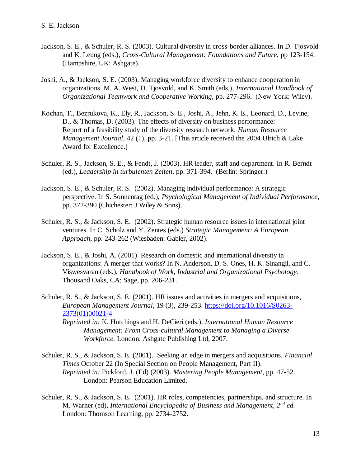- Jackson, S. E., & Schuler, R. S. (2003). Cultural diversity in cross-border alliances. In D. Tjosvold and K. Leung (eds.), *Cross-Cultural Management: Foundations and Future*, pp 123-154. (Hampshire, UK: Ashgate).
- Joshi, A., & Jackson, S. E. (2003). Managing workforce diversity to enhance cooperation in organizations. M. A. West, D. Tjosvold, and K. Smith (eds.), *International Handbook of Organizational Teamwork and Cooperative Working*, pp. 277-296. (New York: Wiley).
- Kochan, T., Bezrukova, K., Ely, R., Jackson, S. E., Joshi, A., Jehn, K. E., Leonard, D., Levine, D., & Thomas, D. (2003). The effects of diversity on business performance: Report of a feasibility study of the diversity research network. *Human Resource Management Journal,* 42 (1), pp. 3-21. [This article received the 2004 Ulrich & Lake Award for Excellence.]
- Schuler, R. S., Jackson, S. E., & Fendt, J. (2003). HR leader, staff and department. In R. Berndt (ed.), *Leadership in turbulenten Zeiten*, pp. 371-394. (Berlin: Springer.)
- Jackson, S. E., & Schuler, R. S. (2002). Managing individual performance: A strategic perspective. In S. Sonnentag (ed.), *Psychological Management of Individual Performance*, pp. 372-390 (Chichester: J Wiley & Sons).
- Schuler, R. S., & Jackson, S. E. (2002). Strategic human resource issues in international joint ventures. In C. Scholz and Y. Zentes (eds.) *Strategic Management: A European Approach*, pp. 243-262 (Wiesbaden: Gabler, 2002).
- Jackson, S. E., & Joshi, A. (2001). Research on domestic and international diversity in organizations: A merger that works? In N. Anderson, D. S. Ones, H. K. Sinangil, and C. Viswesvaran (eds.), *Handbook of Work, Industrial and Organizational Psychology*. Thousand Oaks, CA: Sage, pp. 206-231.
- Schuler, R. S., & Jackson, S. E. (2001). HR issues and activities in mergers and acquisitions, *European Management Journal,* 19 (3), 239-253. [https://doi.org/10.1016/S0263-](https://doi.org/10.1016/S0263-2373(01)00021-4) [2373\(01\)00021-4](https://doi.org/10.1016/S0263-2373(01)00021-4)
	- *Reprinted in:* K. Hutchings and H. DeCieri (eds.), *International Human Resource Management: From Cross-cultural Management to Managing a Diverse Workforce.* London: Ashgate Publishing Ltd, 2007.
- Schuler, R. S., & Jackson, S. E. (2001). Seeking an edge in mergers and acquisitions. *Financial Times* October 22 (In Special Section on People Management, Part II). *Reprinted in:* Pickford, J. (Ed) (2003). *Mastering People Management*, pp. 47-52. London: Pearson Education Limited.
- Schuler, R. S., & Jackson, S. E. (2001). HR roles, competencies, partnerships, and structure. In M. Warner (ed), *International Encyclopedia of Business and Management, 2nd ed.*  London: Thomson Learning, pp. 2734-2752.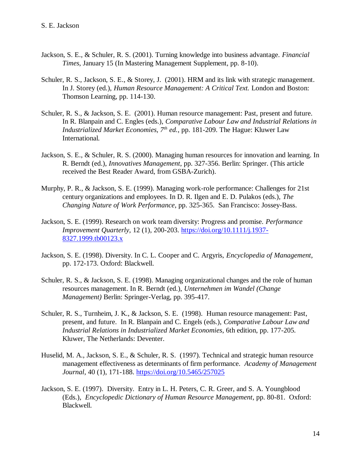- Jackson, S. E., & Schuler, R. S. (2001). Turning knowledge into business advantage. *Financial Times*, January 15 (In Mastering Management Supplement, pp. 8-10).
- Schuler, R. S., Jackson, S. E., & Storey, J. (2001). HRM and its link with strategic management. In J. Storey (ed.), *Human Resource Management: A Critical Text.* London and Boston: Thomson Learning, pp. 114-130.
- Schuler, R. S., & Jackson, S. E. (2001). Human resource management: Past, present and future. In R. Blanpain and C. Engles (eds.), *Comparative Labour Law and Industrial Relations in Industrialized Market Economies, 7th ed.*, pp. 181-209. The Hague: Kluwer Law International.
- Jackson, S. E., & Schuler, R. S. (2000). Managing human resources for innovation and learning. In R. Berndt (ed.), *Innovatives Management*, pp. 327-356. Berlin: Springer. (This article received the Best Reader Award, from GSBA-Zurich).
- Murphy, P. R., & Jackson, S. E. (1999). Managing work-role performance: Challenges for 21st century organizations and employees. In D. R. Ilgen and E. D. Pulakos (eds.), *The Changing Nature of Work Performance*, pp. 325-365. San Francisco: Jossey-Bass.
- Jackson, S. E. (1999). Research on work team diversity: Progress and promise. *Performance Improvement Quarterly,* 12 (1), 200-203. [https://doi.org/10.1111/j.1937-](https://doi.org/10.1111/j.1937-8327.1999.tb00123.x) [8327.1999.tb00123.x](https://doi.org/10.1111/j.1937-8327.1999.tb00123.x)
- Jackson, S. E. (1998). Diversity. In C. L. Cooper and C. Argyris, *Encyclopedia of Management*, pp. 172-173. Oxford: Blackwell.
- Schuler, R. S., & Jackson, S. E. (1998). Managing organizational changes and the role of human resources management. In R. Berndt (ed.), *Unternehmen im Wandel (Change Management)* Berlin: Springer-Verlag, pp. 395-417.
- Schuler, R. S., Turnheim, J. K., & Jackson, S. E. (1998). Human resource management: Past, present, and future. In R. Blanpain and C. Engels (eds.), *Comparative Labour Law and Industrial Relations in Industrialized Market Economies*, 6th edition, pp. 177-205*.* Kluwer, The Netherlands: Deventer.
- Huselid, M. A., Jackson, S. E., & Schuler, R. S. (1997). Technical and strategic human resource management effectiveness as determinants of firm performance. *Academy of Management Journal*, 40 (1), 171-188. <https://doi.org/10.5465/257025>
- Jackson, S. E. (1997). Diversity. Entry in L. H. Peters, C. R. Greer, and S. A. Youngblood (Eds.), *Encyclopedic Dictionary of Human Resource Management*, pp. 80-81. Oxford: Blackwell.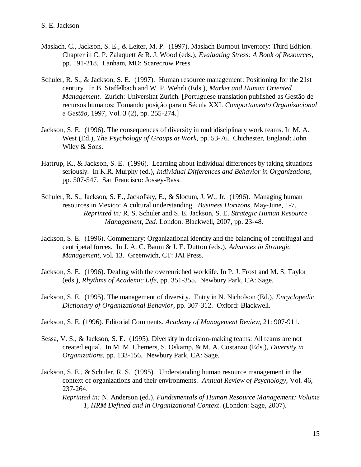- Maslach, C., Jackson, S. E., & Leiter, M. P. (1997). Maslach Burnout Inventory: Third Edition. Chapter in C. P. Zalaquett & R. J. Wood (eds.), *Evaluating Stress: A Book of Resources,*  pp. 191-218. Lanham, MD: Scarecrow Press.
- Schuler, R. S., & Jackson, S. E. (1997). Human resource management: Positioning for the 21st century. In B. Staffelbach and W. P. Wehrli (Eds.), *Market and Human Oriented Management*. Zurich: Universitat Zurich. [Portuguese translation published as Gestão de recursos humanos: Tomando posição para o Sécula XXI. *Comportamento Organizacional e Gestão*, 1997, Vol. 3 (2), pp. 255-274.]
- Jackson, S. E. (1996). The consequences of diversity in multidisciplinary work teams. In M. A. West (Ed.), *The Psychology of Groups at Work*, pp. 53-76. Chichester, England: John Wiley & Sons.
- Hattrup, K., & Jackson, S. E. (1996). Learning about individual differences by taking situations seriously. In K.R. Murphy (ed.), *Individual Differences and Behavior in Organizations*, pp. 507-547. San Francisco: Jossey-Bass.
- Schuler, R. S., Jackson, S. E., Jackofsky, E., & Slocum, J. W., Jr. (1996). Managing human resources in Mexico: A cultural understanding. *Business Horizons,* May-June, 1-7. *Reprinted in:* R. S. Schuler and S. E. Jackson, S. E. *Strategic Human Resource Management, 2ed.* London: Blackwell, 2007, pp. 23-48.
- Jackson, S. E. (1996). Commentary: Organizational identity and the balancing of centrifugal and centripetal forces. In J. A. C. Baum & J. E. Dutton (eds.), *Advances in Strategic Management*, vol. 13. Greenwich, CT: JAI Press.
- Jackson, S. E. (1996). Dealing with the overenriched worklife. In P. J. Frost and M. S. Taylor (eds.), *Rhythms of Academic Life,* pp. 351-355. Newbury Park, CA: Sage.
- Jackson, S. E. (1995). The management of diversity. Entry in N. Nicholson (Ed.), *Encyclopedic Dictionary of Organizational Behavior*, pp. 307-312. Oxford: Blackwell.
- Jackson, S. E. (1996). Editorial Comments. *Academy of Management Review*, 21: 907-911.
- Sessa, V. S., & Jackson, S. E. (1995). Diversity in decision-making teams: All teams are not created equal. In M. M. Chemers, S. Oskamp, & M. A. Costanzo (Eds.), *Diversity in Organizations*, pp. 133-156. Newbury Park, CA: Sage.
- Jackson, S. E., & Schuler, R. S. (1995). Understanding human resource management in the context of organizations and their environments. *Annual Review of Psychology*, Vol. 46, 237-264.
	- *Reprinted in:* N. Anderson (ed.), *Fundamentals of Human Resource Management: Volume 1, HRM Defined and in Organizational Context*. (London: Sage, 2007).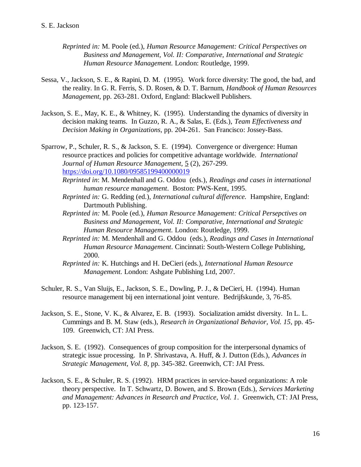- *Reprinted in:* M. Poole (ed.), *Human Resource Management: Critical Perspectives on Business and Management, Vol. II: Comparative, International and Strategic Human Resource Management.* London: Routledge, 1999.
- Sessa, V., Jackson, S. E., & Rapini, D. M. (1995). Work force diversity: The good, the bad, and the reality. In G. R. Ferris, S. D. Rosen, & D. T. Barnum, *Handbook of Human Resources Management*, pp. 263-281. Oxford, England: Blackwell Publishers.
- Jackson, S. E., May, K. E., & Whitney, K. (1995). Understanding the dynamics of diversity in decision making teams. In Guzzo, R. A., & Salas, E. (Eds.), *Team Effectiveness and Decision Making in Organizations*, pp. 204-261. San Francisco: Jossey-Bass.
- Sparrow, P., Schuler, R. S., & Jackson, S. E. (1994). Convergence or divergence: Human resource practices and policies for competitive advantage worldwide. *International Journal of Human Resource Management,* 5 (2), 267-299. <https://doi.org/10.1080/09585199400000019>
	- *Reprinted in*: M. Mendenhall and G. Oddou (eds.), *Readings and cases in international human resource management*. Boston: PWS-Kent, 1995.
	- *Reprinted in:* G. Redding (ed.), *International cultural difference.* Hampshire, England: Dartmouth Publishing.
	- *Reprinted in:* M. Poole (ed.), *Human Resource Management: Critical Persepctives on Business and Management, Vol. II: Comparative, International and Strategic Human Resource Management.* London: Routledge, 1999.
	- *Reprinted in:* M. Mendenhall and G. Oddou (eds.), *Readings and Cases in International Human Resource Management*. Cincinnati: South-Western College Publishing, 2000.
	- *Reprinted in:* K. Hutchings and H. DeCieri (eds.), *International Human Resource Management.* London: Ashgate Publishing Ltd, 2007.
- Schuler, R. S., Van Sluijs, E., Jackson, S. E., Dowling, P. J., & DeCieri, H. (1994). Human resource management bij een international joint venture. Bedrijfskunde, 3, 76-85.
- Jackson, S. E., Stone, V. K., & Alvarez, E. B. (1993). Socialization amidst diversity. In L. L. Cummings and B. M. Staw (eds.), *Research in Organizational Behavior, Vol. 15*, pp. 45- 109. Greenwich, CT: JAI Press.
- Jackson, S. E. (1992). Consequences of group composition for the interpersonal dynamics of strategic issue processing. In P. Shrivastava, A. Huff, & J. Dutton (Eds.), *Advances in Strategic Management, Vol. 8*, pp. 345-382. Greenwich, CT: JAI Press.
- Jackson, S. E., & Schuler, R. S. (1992). HRM practices in service-based organizations: A role theory perspective. In T. Schwartz, D. Bowen, and S. Brown (Eds.), *Services Marketing and Management: Advances in Research and Practice, Vol. 1*. Greenwich, CT: JAI Press, pp. 123-157.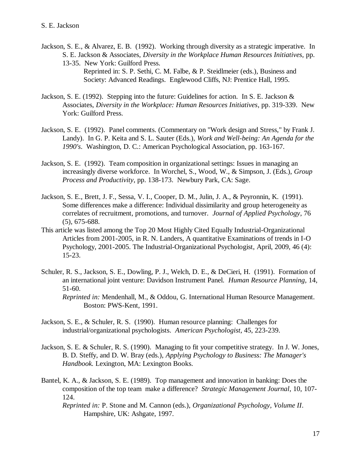- Jackson, S. E., & Alvarez, E. B. (1992). Working through diversity as a strategic imperative. In S. E. Jackson & Associates, *Diversity in the Workplace Human Resources Initiatives,* pp. 13-35. New York: Guilford Press. Reprinted in: S. P. Sethi, C. M. Falbe, & P. Steidlmeier (eds.), Business and Society: Advanced Readings. Englewood Cliffs, NJ: Prentice Hall, 1995.
- Jackson, S. E. (1992). Stepping into the future: Guidelines for action. In S. E. Jackson & Associates, *Diversity in the Workplace: Human Resources Initiatives*, pp. 319-339. New York: Guilford Press.
- Jackson, S. E. (1992). Panel comments. (Commentary on "Work design and Stress," by Frank J. Landy). In G. P. Keita and S. L. Sauter (Eds.), *Work and Well-being: An Agenda for the 1990's*. Washington, D. C.: American Psychological Association, pp. 163-167.
- Jackson, S. E. (1992). Team composition in organizational settings: Issues in managing an increasingly diverse workforce. In Worchel, S., Wood, W., & Simpson, J. (Eds.), *Group Process and Productivity*, pp. 138-173. Newbury Park, CA: Sage.
- Jackson, S. E., Brett, J. F., Sessa, V. I., Cooper, D. M., Julin, J. A., & Peyronnin, K. (1991). Some differences make a difference: Individual dissimilarity and group heterogeneity as correlates of recruitment, promotions, and turnover. *Journal of Applied Psychology*, 76 (5), 675-688.
- This article was listed among the Top 20 Most Highly Cited Equally Industrial-Organizational Articles from 2001-2005, in R. N. Landers, A quantitative Examinations of trends in I-O Psychology, 2001-2005. The Industrial-Organizational Psychologist, April, 2009, 46 (4): 15-23.
- Schuler, R. S., Jackson, S. E., Dowling, P. J., Welch, D. E., & DeCieri, H. (1991). Formation of an international joint venture: Davidson Instrument Panel. *Human Resource Planning,* 14, 51-60. *Reprinted in:* Mendenhall, M., & Oddou, G. International Human Resource Management. Boston: PWS-Kent, 1991.
- Jackson, S. E., & Schuler, R. S. (1990). Human resource planning: Challenges for industrial/organizational psychologists. *American Psychologist*, 45, 223-239.
- Jackson, S. E. & Schuler, R. S. (1990). Managing to fit your competitive strategy. In J. W. Jones, B. D. Steffy, and D. W. Bray (eds.), *Applying Psychology to Business: The Manager's Handbook.* Lexington, MA: Lexington Books.
- Bantel, K. A., & Jackson, S. E. (1989). Top management and innovation in banking: Does the composition of the top team make a difference? *Strategic Management Journal*, 10, 107- 124.
	- *Reprinted in:* P. Stone and M. Cannon (eds.), *Organizational Psychology, Volume II*. Hampshire, UK: Ashgate, 1997.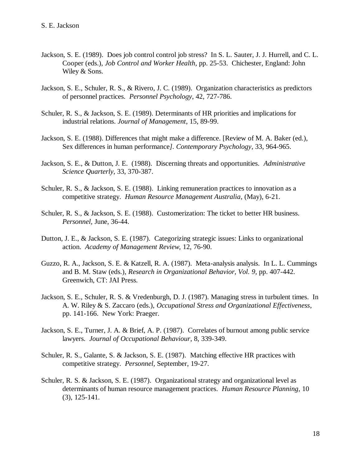- Jackson, S. E. (1989). Does job control control job stress? In S. L. Sauter, J. J. Hurrell, and C. L. Cooper (eds.), *Job Control and Worker Health*, pp. 25-53. Chichester, England: John Wiley & Sons.
- Jackson, S. E., Schuler, R. S., & Rivero, J. C. (1989). Organization characteristics as predictors of personnel practices. *Personnel Psychology*, 42, 727-786.
- Schuler, R. S., & Jackson, S. E. (1989). Determinants of HR priorities and implications for industrial relations. *Journal of Management*, 15, 89-99.
- Jackson, S. E. (1988). Differences that might make a difference. [Review of M. A. Baker (ed.), Sex differences in human performance*]. Contemporary Psychology*, 33, 964-965.
- Jackson, S. E., & Dutton, J. E. (1988). Discerning threats and opportunities. *Administrative Science Quarterly*, 33, 370-387.
- Schuler, R. S., & Jackson, S. E. (1988). Linking remuneration practices to innovation as a competitive strategy. *Human Resource Management Australia*, (May), 6-21.
- Schuler, R. S., & Jackson, S. E. (1988). Customerization: The ticket to better HR business. *Personnel,* June, 36-44.
- Dutton, J. E., & Jackson, S. E. (1987). Categorizing strategic issues: Links to organizational action. *Academy of Management Review,* 12, 76-90.
- Guzzo, R. A., Jackson, S. E. & Katzell, R. A. (1987). Meta-analysis analysis. In L. L. Cummings and B. M. Staw (eds.), *Research in Organizational Behavior, Vol. 9*, pp. 407-442. Greenwich, CT: JAI Press.
- Jackson, S. E., Schuler, R. S. & Vredenburgh, D. J. (1987). Managing stress in turbulent times. In A. W. Riley & S. Zaccaro (eds.), *Occupational Stress and Organizational Effectiveness*, pp. 141-166. New York: Praeger.
- Jackson, S. E., Turner, J. A. & Brief, A. P. (1987). Correlates of burnout among public service lawyers. *Journal of Occupational Behaviour*, 8, 339-349.
- Schuler, R. S., Galante, S. & Jackson, S. E. (1987). Matching effective HR practices with competitive strategy. *Personnel,* September, 19-27.
- Schuler, R. S. & Jackson, S. E. (1987). Organizational strategy and organizational level as determinants of human resource management practices. *Human Resource Planning*, 10 (3), 125-141.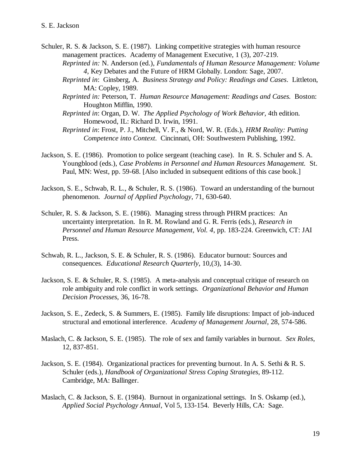Schuler, R. S. & Jackson, S. E. (1987). Linking competitive strategies with human resource management practices. Academy of Management Executive, 1 (3), 207-219. *Reprinted in:* N. Anderson (ed.), *Fundamentals of Human Resource Management: Volume* 

*4,* Key Debates and the Future of HRM Globally. London: Sage, 2007.

- *Reprinted in*: Ginsberg, A. *Business Strategy and Policy: Readings and Cases*. Littleton, MA: Copley, 1989.
- *Reprinted in:* Peterson, T. *Human Resource Management: Readings and Cases.* Boston: Houghton Mifflin, 1990.
- *Reprinted in*: Organ, D. W. *The Applied Psychology of Work Behavior,* 4th edition. Homewood, IL: Richard D. Irwin, 1991.
- *Reprinted in*: Frost, P. J., Mitchell, V. F., & Nord, W. R. (Eds.), *HRM Reality: Putting Competence into Context*. Cincinnati, OH: Southwestern Publishing, 1992.
- Jackson, S. E. (1986). Promotion to police sergeant (teaching case). In R. S. Schuler and S. A. Youngblood (eds.), *Case Problems in Personnel and Human Resources Management.* St. Paul, MN: West, pp. 59-68. [Also included in subsequent editions of this case book.]
- Jackson, S. E., Schwab, R. L., & Schuler, R. S. (1986). Toward an understanding of the burnout phenomenon. *Journal of Applied Psychology*, 71, 630-640.
- Schuler, R. S. & Jackson, S. E. (1986). Managing stress through PHRM practices: An uncertainty interpretation. In R. M. Rowland and G. R. Ferris (eds.), *Research in Personnel and Human Resource Management, Vol. 4*, pp. 183-224. Greenwich, CT: JAI Press.
- Schwab, R. L., Jackson, S. E. & Schuler, R. S. (1986). Educator burnout: Sources and consequences. *Educational Research Quarterly*, 10,(3), 14-30.
- Jackson, S. E. & Schuler, R. S. (1985). A meta-analysis and conceptual critique of research on role ambiguity and role conflict in work settings*. Organizational Behavior and Human Decision Processes*, 36, 16-78.
- Jackson, S. E., Zedeck, S. & Summers, E. (1985). Family life disruptions: Impact of job-induced structural and emotional interference. *Academy of Management Journal*, 28, 574-586.
- Maslach, C. & Jackson, S. E. (1985). The role of sex and family variables in burnout. *Sex Roles*, 12, 837-851.
- Jackson, S. E. (1984). Organizational practices for preventing burnout. In A. S. Sethi & R. S. Schuler (eds.), *Handbook of Organizational Stress Coping Strategies*, 89-112. Cambridge, MA: Ballinger.
- Maslach, C. & Jackson, S. E. (1984). Burnout in organizational settings. In S. Oskamp (ed.), *Applied Social Psychology Annual*, Vol 5, 133-154. Beverly Hills, CA: Sage.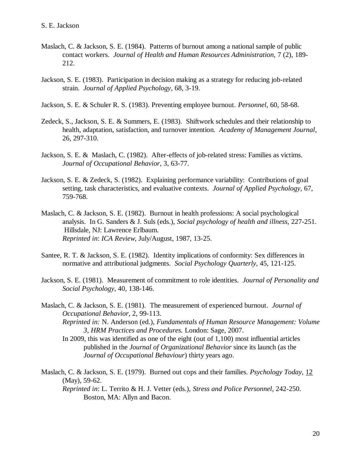- Maslach, C. & Jackson, S. E. (1984). Patterns of burnout among a national sample of public contact workers. *Journal of Health and Human Resources Administration,* 7 (2), 189- 212.
- Jackson, S. E. (1983). Participation in decision making as a strategy for reducing job-related strain. *Journal of Applied Psychology,* 68, 3-19.
- Jackson, S. E. & Schuler R. S. (1983). Preventing employee burnout. *Personnel*, 60, 58-68.
- Zedeck, S., Jackson, S. E. & Summers, E. (1983). Shiftwork schedules and their relationship to health, adaptation, satisfaction, and turnover intention*. Academy of Management Journal*, 26, 297-310.
- Jackson, S. E. & Maslach, C. (1982). After-effects of job-related stress: Families as victims. *Journal of Occupational Behavior*, 3, 63-77.
- Jackson, S. E. & Zedeck, S. (1982). Explaining performance variability: Contributions of goal setting, task characteristics, and evaluative contexts. *Journal of Applied Psychology,* 67, 759-768.
- Maslach, C. & Jackson, S. E. (1982). Burnout in health professions: A social psychological analysis. In G. Sanders & J. Suls (eds.), *Social psychology of health and illness,* 227-251. Hillsdale, NJ: Lawrence Erlbaum. *Reprinted in*: *ICA Review,* July/August, 1987, 13-25.
- Santee, R. T. & Jackson, S. E. (1982). Identity implications of conformity: Sex differences in normative and attributional judgments. *Social Psychology Quarterly,* 45, 121-125.
- Jackson, S. E. (1981). Measurement of commitment to role identities. *Journal of Personality and Social Psychology*, 40, 138-146.
- Maslach, C. & Jackson, S. E. (1981). The measurement of experienced burnout. *Journal of Occupational Behavior*, 2, 99-113.
	- *Reprinted in:* N. Anderson (ed.), *Fundamentals of Human Resource Management: Volume 3, HRM Practices and Procedures.* London: Sage, 2007.
	- In 2009, this was identified as one of the eight (out of 1,100) most influential articles published in the *Journal of Organizational Behavior* since its launch (as the *Journal of Occupational Behaviour*) thirty years ago.
- Maslach, C. & Jackson, S. E. (1979). Burned out cops and their families. *Psychology Today*, 12 (May), 59-62.

*Reprinted in*: L. Territo & H. J. Vetter (eds.), *Stress and Police Personnel*, 242-250. Boston, MA: Allyn and Bacon.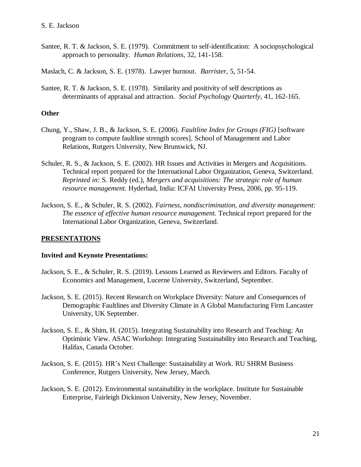Santee, R. T. & Jackson, S. E. (1979). Commitment to self-identification: A sociopsychological approach to personality. *Human Relations*, 32, 141-158.

Maslach, C. & Jackson, S. E. (1978). Lawyer burnout. *Barrister*, 5, 51-54.

Santee, R. T. & Jackson, S. E. (1978). Similarity and positivity of self descriptions as determinants of appraisal and attraction. *Social Psychology Quarterly,* 41, 162-165.

#### **Other**

- Chung, Y., Shaw, J. B., & Jackson, S. E. (2006). *Faultline Index for Groups (FIG)* [software program to compute faultline strength scores]*.* School of Management and Labor Relations, Rutgers University, New Brunswick, NJ.
- Schuler, R. S., & Jackson, S. E. (2002). HR Issues and Activities in Mergers and Acquisitions. Technical report prepared for the International Labor Organization, Geneva, Switzerland. *Reprinted in:* S. Reddy (ed.), *Mergers and acquisitions: The strategic role of human resource management.* Hyderbad, India: ICFAI University Press, 2006, pp. 95-119.
- Jackson, S. E., & Schuler, R. S. (2002). *Fairness, nondiscrimination, and diversity management: The essence of effective human resource management.* Technical report prepared for the International Labor Organization, Geneva, Switzerland.

# **PRESENTATIONS**

#### **Invited and Keynote Presentations:**

- Jackson, S. E., & Schuler, R. S. (2019). Lessons Learned as Reviewers and Editors. Faculty of Economics and Management, Lucerne University, Switzerland, September.
- Jackson, S. E. (2015). Recent Research on Workplace Diversity: Nature and Consequences of Demographic Faultlines and Diversity Climate in A Global Manufacturing Firm Lancaster University, UK September.
- Jackson, S. E., & Shim, H. (2015). Integrating Sustainability into Research and Teaching: An Optimistic View. ASAC Workshop: Integrating Sustainability into Research and Teaching, Halifax, Canada October.
- Jackson, S. E. (2015). HR's Next Challenge: Sustainability at Work. RU SHRM Business Conference, Rutgers University, New Jersey, March.
- Jackson, S. E. (2012). Environmental sustainability in the workplace. Institute for Sustainable Enterprise, Fairleigh Dickinson University, New Jersey, November.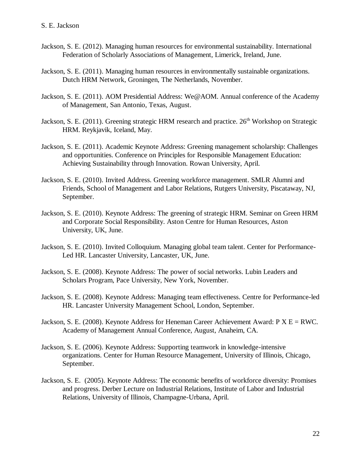- Jackson, S. E. (2012). Managing human resources for environmental sustainability. International Federation of Scholarly Associations of Management, Limerick, Ireland, June.
- Jackson, S. E. (2011). Managing human resources in environmentally sustainable organizations. Dutch HRM Network, Groningen, The Netherlands, November.
- Jackson, S. E. (2011). AOM Presidential Address: We@AOM. Annual conference of the Academy of Management, San Antonio, Texas, August.
- Jackson, S. E. (2011). Greening strategic HRM research and practice. 26<sup>th</sup> Workshop on Strategic HRM. Reykjavik, Iceland, May.
- Jackson, S. E. (2011). Academic Keynote Address: Greening management scholarship: Challenges and opportunities. Conference on Principles for Responsible Management Education: Achieving Sustainability through Innovation. Rowan University, April.
- Jackson, S. E. (2010). Invited Address. Greening workforce management. SMLR Alumni and Friends, School of Management and Labor Relations, Rutgers University, Piscataway, NJ, September.
- Jackson, S. E. (2010). Keynote Address: The greening of strategic HRM. Seminar on Green HRM and Corporate Social Responsibility. Aston Centre for Human Resources, Aston University, UK, June.
- Jackson, S. E. (2010). Invited Colloquium. Managing global team talent. Center for Performance-Led HR. Lancaster University, Lancaster, UK, June.
- Jackson, S. E. (2008). Keynote Address: The power of social networks. Lubin Leaders and Scholars Program, Pace University, New York, November.
- Jackson, S. E. (2008). Keynote Address: Managing team effectiveness. Centre for Performance-led HR. Lancaster University Management School, London, September.
- Jackson, S. E. (2008). Keynote Address for Heneman Career Achievement Award: P X E = RWC. Academy of Management Annual Conference, August, Anaheim, CA.
- Jackson, S. E. (2006). Keynote Address: Supporting teamwork in knowledge-intensive organizations. Center for Human Resource Management, University of Illinois, Chicago, September.
- Jackson, S. E. (2005). Keynote Address: The economic benefits of workforce diversity: Promises and progress. Derber Lecture on Industrial Relations, Institute of Labor and Industrial Relations, University of Illinois, Champagne-Urbana, April.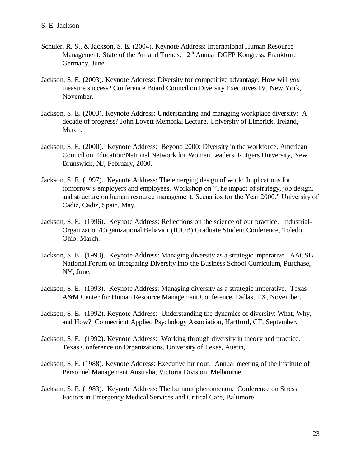- Schuler, R. S., & Jackson, S. E. (2004). Keynote Address: International Human Resource Management: State of the Art and Trends.  $12<sup>th</sup>$  Annual DGFP Kongress, Frankfort, Germany, June.
- Jackson, S. E. (2003). Keynote Address: Diversity for competitive advantage: How will *you* measure success? Conference Board Council on Diversity Executives IV, New York, November.
- Jackson, S. E. (2003). Keynote Address: Understanding and managing workplace diversity: A decade of progress? John Lovett Memorial Lecture, University of Limerick, Ireland, March.
- Jackson, S. E. (2000). Keynote Address: Beyond 2000: Diversity in the workforce. American Council on Education/National Network for Women Leaders, Rutgers University, New Brunswick, NJ, February, 2000.
- Jackson, S. E. (1997). Keynote Address: The emerging design of work: Implications for tomorrow's employers and employees. Workshop on "The impact of strategy, job design, and structure on human resource management: Scenarios for the Year 2000." University of Cadiz, Cadiz, Spain, May.
- Jackson, S. E. (1996). Keynote Address: Reflections on the science of our practice. Industrial-Organization/Organizational Behavior (IOOB) Graduate Student Conference, Toledo, Ohio, March.
- Jackson, S. E. (1993). Keynote Address: Managing diversity as a strategic imperative. AACSB National Forum on Integrating Diversity into the Business School Curriculum, Purchase, NY, June.
- Jackson, S. E. (1993). Keynote Address: Managing diversity as a strategic imperative. Texas A&M Center for Human Resource Management Conference, Dallas, TX, November.
- Jackson, S. E. (1992). Keynote Address: Understanding the dynamics of diversity: What, Why, and How? Connecticut Applied Psychology Association, Hartford, CT, September.
- Jackson, S. E. (1992). Keynote Address: Working through diversity in theory and practice. Texas Conference on Organizations, University of Texas, Austin,
- Jackson, S. E. (1988). Keynote Address: Executive burnout. Annual meeting of the Institute of Personnel Management Australia, Victoria Division, Melbourne.
- Jackson, S. E. (1983). Keynote Address: The burnout phenomenon. Conference on Stress Factors in Emergency Medical Services and Critical Care, Baltimore.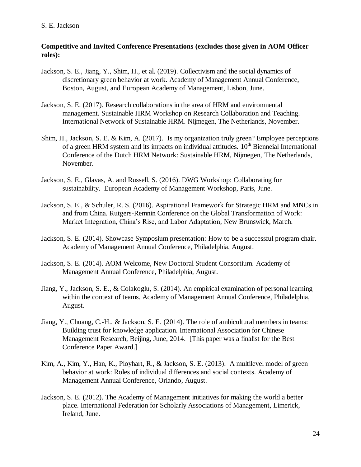# **Competitive and Invited Conference Presentations (excludes those given in AOM Officer roles):**

- Jackson, S. E., Jiang, Y., Shim, H., et al. (2019). Collectivism and the social dynamics of discretionary green behavior at work. Academy of Management Annual Conference, Boston, August, and European Academy of Management, Lisbon, June.
- Jackson, S. E. (2017). Research collaborations in the area of HRM and environmental management. Sustainable HRM Workshop on Research Collaboration and Teaching. International Network of Sustainable HRM. Nijmegen, The Netherlands, November.
- Shim, H., Jackson, S. E. & Kim, A. (2017). Is my organization truly green? Employee perceptions of a green HRM system and its impacts on individual attitudes.  $10<sup>th</sup>$  Bienneial International Conference of the Dutch HRM Network: Sustainable HRM, Nijmegen, The Netherlands, November.
- Jackson, S. E., Glavas, A. and Russell, S. (2016). DWG Workshop: Collaborating for sustainability. European Academy of Management Workshop, Paris, June.
- Jackson, S. E., & Schuler, R. S. (2016). Aspirational Framework for Strategic HRM and MNCs in and from China. Rutgers-Remnin Conference on the Global Transformation of Work: Market Integration, China's Rise, and Labor Adaptation, New Brunswick, March.
- Jackson, S. E. (2014). Showcase Symposium presentation: How to be a successful program chair. Academy of Management Annual Conference, Philadelphia, August.
- Jackson, S. E. (2014). AOM Welcome, New Doctoral Student Consortium. Academy of Management Annual Conference, Philadelphia, August.
- Jiang, Y., Jackson, S. E., & Colakoglu, S. (2014). An empirical examination of personal learning within the context of teams. Academy of Management Annual Conference, Philadelphia, August.
- Jiang, Y., Chuang, C.-H., & Jackson, S. E. (2014). The role of ambicultural members in teams: Building trust for knowledge application. International Association for Chinese Management Research, Beijing, June, 2014. [This paper was a finalist for the Best Conference Paper Award.]
- Kim, A., Kim, Y., Han, K., Ployhart, R., & Jackson, S. E. (2013). A multilevel model of green behavior at work: Roles of individual differences and social contexts. Academy of Management Annual Conference, Orlando, August.
- Jackson, S. E. (2012). The Academy of Management initiatives for making the world a better place. International Federation for Scholarly Associations of Management, Limerick, Ireland, June.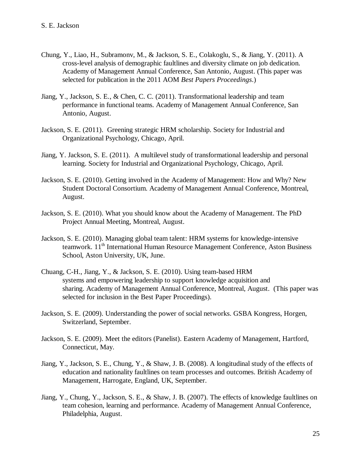- Chung, Y., Liao, H., Subramonv, M., & Jackson, S. E., Colakoglu, S., & Jiang, Y. (2011). A cross-level analysis of demographic faultlines and diversity climate on job dedication. Academy of Management Annual Conference, San Antonio, August. (This paper was selected for publication in the 2011 AOM *Best Papers Proceedings*.)
- Jiang, Y., Jackson, S. E., & Chen, C. C. (2011). Transformational leadership and team performance in functional teams. Academy of Management Annual Conference, San Antonio, August.
- Jackson, S. E. (2011). Greening strategic HRM scholarship. Society for Industrial and Organizational Psychology, Chicago, April.
- Jiang, Y. Jackson, S. E. (2011). A multilevel study of transformational leadership and personal learning. Society for Industrial and Organizational Psychology, Chicago, April.
- Jackson, S. E. (2010). Getting involved in the Academy of Management: How and Why? New Student Doctoral Consortium. Academy of Management Annual Conference, Montreal, August.
- Jackson, S. E. (2010). What you should know about the Academy of Management. The PhD Project Annual Meeting, Montreal, August.
- Jackson, S. E. (2010). Managing global team talent: HRM systems for knowledge-intensive teamwork. 11<sup>th</sup> International Human Resource Management Conference, Aston Business School, Aston University, UK, June.
- Chuang, C-H., Jiang, Y., & Jackson, S. E. (2010). Using team-based HRM systems and empowering leadership to support knowledge acquisition and sharing. Academy of Management Annual Conference, Montreal, August. (This paper was selected for inclusion in the Best Paper Proceedings).
- Jackson, S. E. (2009). Understanding the power of social networks. GSBA Kongress, Horgen, Switzerland, September.
- Jackson, S. E. (2009). Meet the editors (Panelist). Eastern Academy of Management, Hartford, Connecticut, May.
- Jiang, Y., Jackson, S. E., Chung, Y., & Shaw, J. B. (2008). A longitudinal study of the effects of education and nationality faultlines on team processes and outcomes. British Academy of Management, Harrogate, England, UK, September.
- Jiang, Y., Chung, Y., Jackson, S. E., & Shaw, J. B. (2007). The effects of knowledge faultlines on team cohesion, learning and performance. Academy of Management Annual Conference, Philadelphia, August.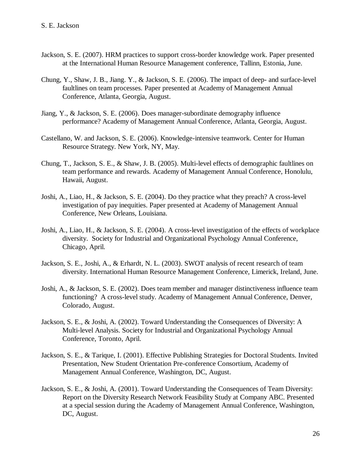- Jackson, S. E. (2007). HRM practices to support cross-border knowledge work. Paper presented at the International Human Resource Management conference, Tallinn, Estonia, June.
- Chung, Y., Shaw, J. B., Jiang. Y., & Jackson, S. E. (2006). The impact of deep- and surface-level faultlines on team processes. Paper presented at Academy of Management Annual Conference, Atlanta, Georgia, August.
- Jiang, Y., & Jackson, S. E. (2006). Does manager-subordinate demography influence performance? Academy of Management Annual Conference, Atlanta, Georgia, August.
- Castellano, W. and Jackson, S. E. (2006). Knowledge-intensive teamwork. Center for Human Resource Strategy. New York, NY, May.
- Chung, T., Jackson, S. E., & Shaw, J. B. (2005). Multi-level effects of demographic faultlines on team performance and rewards. Academy of Management Annual Conference, Honolulu, Hawaii, August.
- Joshi, A., Liao, H., & Jackson, S. E. (2004). Do they practice what they preach? A cross-level investigation of pay inequities. Paper presented at Academy of Management Annual Conference, New Orleans, Louisiana.
- Joshi, A., Liao, H., & Jackson, S. E. (2004). A cross-level investigation of the effects of workplace diversity. Society for Industrial and Organizational Psychology Annual Conference, Chicago, April.
- Jackson, S. E., Joshi, A., & Erhardt, N. L. (2003). SWOT analysis of recent research of team diversity. International Human Resource Management Conference, Limerick, Ireland, June.
- Joshi, A., & Jackson, S. E. (2002). Does team member and manager distinctiveness influence team functioning? A cross-level study. Academy of Management Annual Conference, Denver, Colorado, August.
- Jackson, S. E., & Joshi, A. (2002). Toward Understanding the Consequences of Diversity: A Multi-level Analysis. Society for Industrial and Organizational Psychology Annual Conference, Toronto, April.
- Jackson, S. E., & Tarique, I. (2001). Effective Publishing Strategies for Doctoral Students. Invited Presentation, New Student Orientation Pre-conference Consortium, Academy of Management Annual Conference, Washington, DC, August.
- Jackson, S. E., & Joshi, A. (2001). Toward Understanding the Consequences of Team Diversity: Report on the Diversity Research Network Feasibility Study at Company ABC. Presented at a special session during the Academy of Management Annual Conference, Washington, DC, August.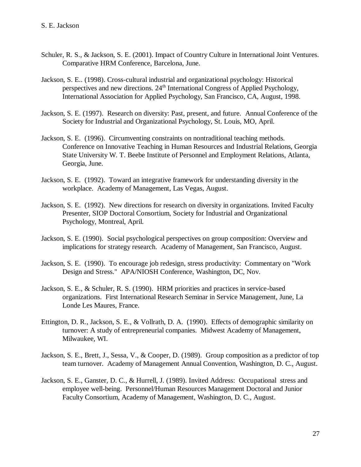- Schuler, R. S., & Jackson, S. E. (2001). Impact of Country Culture in International Joint Ventures. Comparative HRM Conference, Barcelona, June.
- Jackson, S. E.. (1998). Cross-cultural industrial and organizational psychology: Historical perspectives and new directions. 24<sup>th</sup> International Congress of Applied Psychology, International Association for Applied Psychology, San Francisco, CA, August, 1998.
- Jackson, S. E. (1997). Research on diversity: Past, present, and future. Annual Conference of the Society for Industrial and Organizational Psychology, St. Louis, MO, April.
- Jackson, S. E. (1996). Circumventing constraints on nontraditional teaching methods. Conference on Innovative Teaching in Human Resources and Industrial Relations, Georgia State University W. T. Beebe Institute of Personnel and Employment Relations, Atlanta, Georgia, June.
- Jackson, S. E. (1992). Toward an integrative framework for understanding diversity in the workplace. Academy of Management, Las Vegas, August.
- Jackson, S. E. (1992). New directions for research on diversity in organizations. Invited Faculty Presenter, SIOP Doctoral Consortium, Society for Industrial and Organizational Psychology, Montreal, April.
- Jackson, S. E. (1990). Social psychological perspectives on group composition: Overview and implications for strategy research. Academy of Management, San Francisco, August.
- Jackson, S. E. (1990). To encourage job redesign, stress productivity: Commentary on "Work Design and Stress." APA/NIOSH Conference, Washington, DC, Nov.
- Jackson, S. E., & Schuler, R. S. (1990). HRM priorities and practices in service-based organizations. First International Research Seminar in Service Management, June, La Londe Les Maures, France.
- Ettington, D. R., Jackson, S. E., & Vollrath, D. A. (1990). Effects of demographic similarity on turnover: A study of entrepreneurial companies. Midwest Academy of Management, Milwaukee, WI.
- Jackson, S. E., Brett, J., Sessa, V., & Cooper, D. (1989). Group composition as a predictor of top team turnover. Academy of Management Annual Convention, Washington, D. C., August.
- Jackson, S. E., Ganster, D. C., & Hurrell, J. (1989). Invited Address: Occupational stress and employee well-being. Personnel/Human Resources Management Doctoral and Junior Faculty Consortium, Academy of Management, Washington, D. C., August.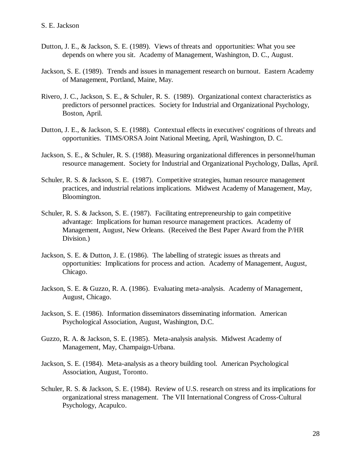- Dutton, J. E., & Jackson, S. E. (1989). Views of threats and opportunities: What you see depends on where you sit. Academy of Management, Washington, D. C., August.
- Jackson, S. E. (1989). Trends and issues in management research on burnout. Eastern Academy of Management, Portland, Maine, May.
- Rivero, J. C., Jackson, S. E., & Schuler, R. S. (1989). Organizational context characteristics as predictors of personnel practices. Society for Industrial and Organizational Psychology, Boston, April.
- Dutton, J. E., & Jackson, S. E. (1988). Contextual effects in executives' cognitions of threats and opportunities. TIMS/ORSA Joint National Meeting, April, Washington, D. C.
- Jackson, S. E., & Schuler, R. S. (1988). Measuring organizational differences in personnel/human resource management. Society for Industrial and Organizational Psychology, Dallas, April.
- Schuler, R. S. & Jackson, S. E. (1987). Competitive strategies, human resource management practices, and industrial relations implications. Midwest Academy of Management, May, Bloomington.
- Schuler, R. S. & Jackson, S. E. (1987). Facilitating entrepreneurship to gain competitive advantage: Implications for human resource management practices. Academy of Management, August, New Orleans. (Received the Best Paper Award from the P/HR Division.)
- Jackson, S. E. & Dutton, J. E. (1986). The labelling of strategic issues as threats and opportunities: Implications for process and action. Academy of Management, August, Chicago.
- Jackson, S. E. & Guzzo, R. A. (1986). Evaluating meta-analysis. Academy of Management, August, Chicago.
- Jackson, S. E. (1986). Information disseminators disseminating information. American Psychological Association, August, Washington, D.C.
- Guzzo, R. A. & Jackson, S. E. (1985). Meta-analysis analysis. Midwest Academy of Management, May, Champaign-Urbana.
- Jackson, S. E. (1984). Meta-analysis as a theory building tool. American Psychological Association, August, Toronto.
- Schuler, R. S. & Jackson, S. E. (1984). Review of U.S. research on stress and its implications for organizational stress management. The VII International Congress of Cross-Cultural Psychology, Acapulco.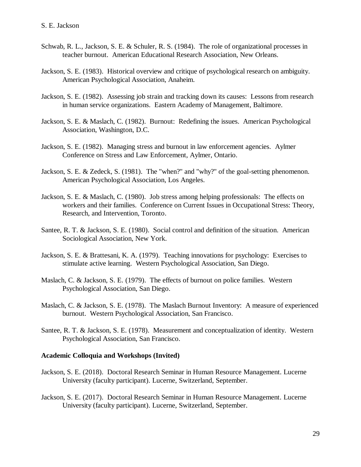- Schwab, R. L., Jackson, S. E. & Schuler, R. S. (1984). The role of organizational processes in teacher burnout. American Educational Research Association, New Orleans.
- Jackson, S. E. (1983). Historical overview and critique of psychological research on ambiguity. American Psychological Association, Anaheim.
- Jackson, S. E. (1982). Assessing job strain and tracking down its causes: Lessons from research in human service organizations. Eastern Academy of Management, Baltimore.
- Jackson, S. E. & Maslach, C. (1982). Burnout: Redefining the issues. American Psychological Association, Washington, D.C.
- Jackson, S. E. (1982). Managing stress and burnout in law enforcement agencies. Aylmer Conference on Stress and Law Enforcement, Aylmer, Ontario.
- Jackson, S. E. & Zedeck, S. (1981). The "when?" and "why?" of the goal-setting phenomenon. American Psychological Association, Los Angeles.
- Jackson, S. E. & Maslach, C. (1980). Job stress among helping professionals: The effects on workers and their families. Conference on Current Issues in Occupational Stress: Theory, Research, and Intervention, Toronto.
- Santee, R. T. & Jackson, S. E. (1980). Social control and definition of the situation. American Sociological Association, New York.
- Jackson, S. E. & Brattesani, K. A. (1979). Teaching innovations for psychology: Exercises to stimulate active learning. Western Psychological Association, San Diego.
- Maslach, C. & Jackson, S. E. (1979). The effects of burnout on police families. Western Psychological Association, San Diego.
- Maslach, C. & Jackson, S. E. (1978). The Maslach Burnout Inventory: A measure of experienced burnout. Western Psychological Association, San Francisco.
- Santee, R. T. & Jackson, S. E. (1978). Measurement and conceptualization of identity. Western Psychological Association, San Francisco.

#### **Academic Colloquia and Workshops (Invited)**

- Jackson, S. E. (2018). Doctoral Research Seminar in Human Resource Management. Lucerne University (faculty participant). Lucerne, Switzerland, September.
- Jackson, S. E. (2017). Doctoral Research Seminar in Human Resource Management. Lucerne University (faculty participant). Lucerne, Switzerland, September.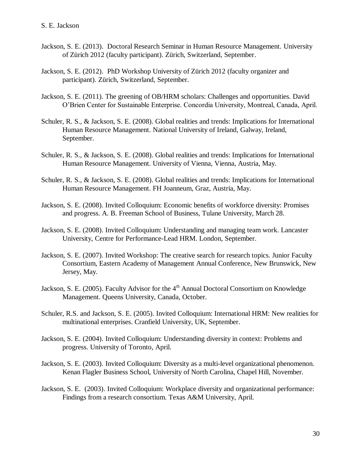- Jackson, S. E. (2013). Doctoral Research Seminar in Human Resource Management. University of Zürich 2012 (faculty participant). Zürich, Switzerland, September.
- Jackson, S. E. (2012). PhD Workshop University of Zürich 2012 (faculty organizer and participant). Zürich, Switzerland, September.
- Jackson, S. E. (2011). The greening of OB/HRM scholars: Challenges and opportunities. David O'Brien Center for Sustainable Enterprise. Concordia University, Montreal, Canada, April.
- Schuler, R. S., & Jackson, S. E. (2008). Global realities and trends: Implications for International Human Resource Management. National University of Ireland, Galway, Ireland, September.
- Schuler, R. S., & Jackson, S. E. (2008). Global realities and trends: Implications for International Human Resource Management. University of Vienna, Vienna, Austria, May.
- Schuler, R. S., & Jackson, S. E. (2008). Global realities and trends: Implications for International Human Resource Management. FH Joanneum, Graz, Austria, May.
- Jackson, S. E. (2008). Invited Colloquium: Economic benefits of workforce diversity: Promises and progress. A. B. Freeman School of Business, Tulane University, March 28.
- Jackson, S. E. (2008). Invited Colloquium: Understanding and managing team work. Lancaster University, Centre for Performance-Lead HRM. London, September.
- Jackson, S. E. (2007). Invited Workshop: The creative search for research topics. Junior Faculty Consortium, Eastern Academy of Management Annual Conference, New Brunswick, New Jersey, May.
- Jackson, S. E. (2005). Faculty Advisor for the 4<sup>th</sup> Annual Doctoral Consortium on Knowledge Management. Queens University, Canada, October.
- Schuler, R.S. and Jackson, S. E. (2005). Invited Colloquium: International HRM: New realities for multinational enterprises. Cranfield University, UK, September.
- Jackson, S. E. (2004). Invited Colloquium: Understanding diversity in context: Problems and progress. University of Toronto, April.
- Jackson, S. E. (2003). Invited Colloquium: Diversity as a multi-level organizational phenomenon. Kenan Flagler Business School, University of North Carolina, Chapel Hill, November.
- Jackson, S. E. (2003). Invited Colloquium: Workplace diversity and organizational performance: Findings from a research consortium. Texas A&M University, April.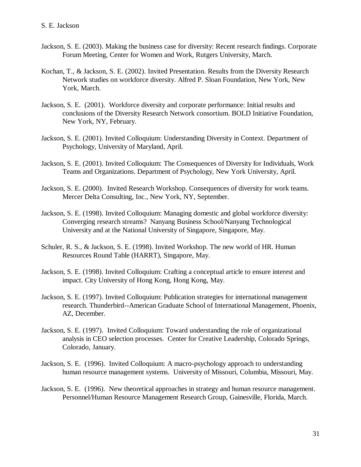- Jackson, S. E. (2003). Making the business case for diversity: Recent research findings. Corporate Forum Meeting, Center for Women and Work, Rutgers University, March.
- Kochan, T., & Jackson, S. E. (2002). Invited Presentation. Results from the Diversity Research Network studies on workforce diversity. Alfred P. Sloan Foundation, New York, New York, March.
- Jackson, S. E. (2001). Workforce diversity and corporate performance: Initial results and conclusions of the Diversity Research Network consortium. BOLD Initiative Foundation, New York, NY, February.
- Jackson, S. E. (2001). Invited Colloquium: Understanding Diversity in Context. Department of Psychology, University of Maryland, April.
- Jackson, S. E. (2001). Invited Colloquium: The Consequences of Diversity for Individuals, Work Teams and Organizations. Department of Psychology, New York University, April.
- Jackson, S. E. (2000). Invited Research Workshop. Consequences of diversity for work teams. Mercer Delta Consulting, Inc., New York, NY, September.
- Jackson, S. E. (1998). Invited Colloquium: Managing domestic and global workforce diversity: Converging research streams? Nanyang Business School/Nanyang Technological University and at the National University of Singapore, Singapore, May.
- Schuler, R. S., & Jackson, S. E. (1998). Invited Workshop. The new world of HR. Human Resources Round Table (HARRT), Singapore, May.
- Jackson, S. E. (1998). Invited Colloquium: Crafting a conceptual article to ensure interest and impact. City University of Hong Kong, Hong Kong, May.
- Jackson, S. E. (1997). Invited Colloquium: Publication strategies for international management research. Thunderbird--American Graduate School of International Management, Phoenix, AZ, December.
- Jackson, S. E. (1997). Invited Colloquium: Toward understanding the role of organizational analysis in CEO selection processes. Center for Creative Leadership, Colorado Springs, Colorado, January.
- Jackson, S. E. (1996). Invited Colloquium: A macro-psychology approach to understanding human resource management systems. University of Missouri, Columbia, Missouri, May.
- Jackson, S. E. (1996). New theoretical approaches in strategy and human resource management. Personnel/Human Resource Management Research Group, Gainesville, Florida, March.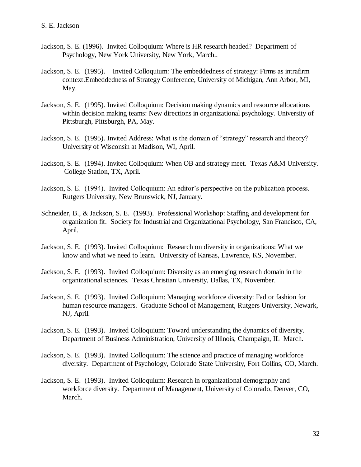- Jackson, S. E. (1996). Invited Colloquium: Where is HR research headed? Department of Psychology, New York University, New York, March..
- Jackson, S. E. (1995). Invited Colloquium: The embeddedness of strategy: Firms as intrafirm context.Embeddedness of Strategy Conference, University of Michigan, Ann Arbor, MI, May.
- Jackson, S. E. (1995). Invited Colloquium: Decision making dynamics and resource allocations within decision making teams: New directions in organizational psychology. University of Pittsburgh, Pittsburgh, PA, May.
- Jackson, S. E. (1995). Invited Address: What *is* the domain of "strategy" research and theory? University of Wisconsin at Madison, WI, April.
- Jackson, S. E. (1994). Invited Colloquium: When OB and strategy meet. Texas A&M University. College Station, TX, April.
- Jackson, S. E. (1994). Invited Colloquium: An editor's perspective on the publication process. Rutgers University, New Brunswick, NJ, January.
- Schneider, B., & Jackson, S. E. (1993). Professional Workshop: Staffing and development for organization fit. Society for Industrial and Organizational Psychology, San Francisco, CA, April.
- Jackson, S. E. (1993). Invited Colloquium: Research on diversity in organizations: What we know and what we need to learn. University of Kansas, Lawrence, KS, November.
- Jackson, S. E. (1993). Invited Colloquium: Diversity as an emerging research domain in the organizational sciences. Texas Christian University, Dallas, TX, November.
- Jackson, S. E. (1993). Invited Colloquium: Managing workforce diversity: Fad or fashion for human resource managers. Graduate School of Management, Rutgers University, Newark, NJ, April.
- Jackson, S. E. (1993). Invited Colloquium: Toward understanding the dynamics of diversity. Department of Business Administration, University of Illinois, Champaign, IL March.
- Jackson, S. E. (1993). Invited Colloquium: The science and practice of managing workforce diversity. Department of Psychology, Colorado State University, Fort Collins, CO, March.
- Jackson, S. E. (1993). Invited Colloquium: Research in organizational demography and workforce diversity. Department of Management, University of Colorado, Denver, CO, March.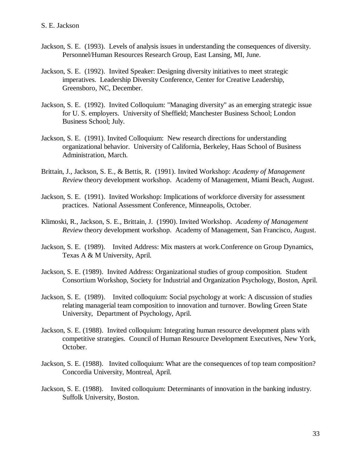- Jackson, S. E. (1993). Levels of analysis issues in understanding the consequences of diversity. Personnel/Human Resources Research Group, East Lansing, MI, June.
- Jackson, S. E. (1992). Invited Speaker: Designing diversity initiatives to meet strategic imperatives. Leadership Diversity Conference, Center for Creative Leadership, Greensboro, NC, December.
- Jackson, S. E. (1992). Invited Colloquium: "Managing diversity" as an emerging strategic issue for U. S. employers. University of Sheffield; Manchester Business School; London Business School; July.
- Jackson, S. E. (1991). Invited Colloquium: New research directions for understanding organizational behavior. University of California, Berkeley, Haas School of Business Administration, March.
- Brittain, J., Jackson, S. E., & Bettis, R. (1991). Invited Workshop: *Academy of Management Review* theory development workshop. Academy of Management, Miami Beach, August.
- Jackson, S. E. (1991). Invited Workshop: Implications of workforce diversity for assessment practices. National Assessment Conference, Minneapolis, October.
- Klimoski, R., Jackson, S. E., Brittain, J. (1990). Invited Workshop. *Academy of Management Review* theory development workshop. Academy of Management, San Francisco, August.
- Jackson, S. E. (1989). Invited Address: Mix masters at work.Conference on Group Dynamics, Texas A & M University, April.
- Jackson, S. E. (1989). Invited Address: Organizational studies of group composition. Student Consortium Workshop, Society for Industrial and Organization Psychology, Boston, April.
- Jackson, S. E. (1989). Invited colloquium: Social psychology at work: A discussion of studies relating managerial team composition to innovation and turnover. Bowling Green State University, Department of Psychology, April.
- Jackson, S. E. (1988). Invited colloquium: Integrating human resource development plans with competitive strategies. Council of Human Resource Development Executives, New York, October.
- Jackson, S. E. (1988). Invited colloquium: What are the consequences of top team composition? Concordia University, Montreal, April.
- Jackson, S. E. (1988). Invited colloquium: Determinants of innovation in the banking industry. Suffolk University, Boston.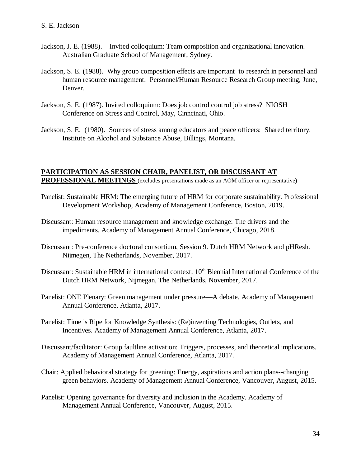- Jackson, J. E. (1988). Invited colloquium: Team composition and organizational innovation. Australian Graduate School of Management, Sydney.
- Jackson, S. E. (1988). Why group composition effects are important to research in personnel and human resource management. Personnel/Human Resource Research Group meeting, June, Denver.
- Jackson, S. E. (1987). Invited colloquium: Does job control control job stress? NIOSH Conference on Stress and Control, May, Cinncinati, Ohio.
- Jackson, S. E. (1980). Sources of stress among educators and peace officers: Shared territory. Institute on Alcohol and Substance Abuse, Billings, Montana.

#### **PARTICIPATION AS SESSION CHAIR, PANELIST, OR DISCUSSANT AT PROFESSIONAL MEETINGS** (excludes presentations made as an AOM officer or representative)

- Panelist: Sustainable HRM: The emerging future of HRM for corporate sustainability. Professional Development Workshop, Academy of Management Conference, Boston, 2019.
- Discussant: Human resource management and knowledge exchange: The drivers and the impediments. Academy of Management Annual Conference, Chicago, 2018.
- Discussant: Pre-conference doctoral consortium, Session 9. Dutch HRM Network and pHResh. Nijmegen, The Netherlands, November, 2017.
- Discussant: Sustainable HRM in international context. 10<sup>th</sup> Biennial International Conference of the Dutch HRM Network, Nijmegan, The Netherlands, November, 2017.
- Panelist: ONE Plenary: Green management under pressure—A debate. Academy of Management Annual Conference, Atlanta, 2017.
- Panelist: Time is Ripe for Knowledge Synthesis: (Re)inventing Technologies, Outlets, and Incentives. Academy of Management Annual Conference, Atlanta, 2017.
- Discussant/facilitator: Group faultline activation: Triggers, processes, and theoretical implications. Academy of Management Annual Conference, Atlanta, 2017.
- Chair: Applied behavioral strategy for greening: Energy, aspirations and action plans--changing green behaviors. Academy of Management Annual Conference, Vancouver, August, 2015.
- Panelist: Opening governance for diversity and inclusion in the Academy. Academy of Management Annual Conference, Vancouver, August, 2015.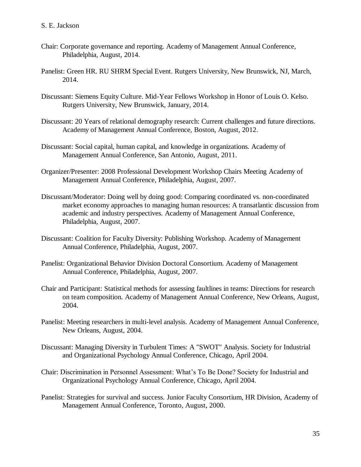- Chair: Corporate governance and reporting. Academy of Management Annual Conference, Philadelphia, August, 2014.
- Panelist: Green HR. RU SHRM Special Event. Rutgers University, New Brunswick, NJ, March, 2014.
- Discussant: Siemens Equity Culture. Mid-Year Fellows Workshop in Honor of Louis O. Kelso. Rutgers University, New Brunswick, January, 2014.
- Discussant: 20 Years of relational demography research: Current challenges and future directions. Academy of Management Annual Conference, Boston, August, 2012.
- Discussant: Social capital, human capital, and knowledge in organizations. Academy of Management Annual Conference, San Antonio, August, 2011.
- Organizer/Presenter: 2008 Professional Development Workshop Chairs Meeting Academy of Management Annual Conference, Philadelphia, August, 2007.
- Discussant/Moderator: Doing well by doing good: Comparing coordinated vs. non-coordinated market economy approaches to managing human resources: A transatlantic discussion from academic and industry perspectives. Academy of Management Annual Conference, Philadelphia, August, 2007.
- Discussant: Coalition for Faculty Diversity: Publishing Workshop. Academy of Management Annual Conference, Philadelphia, August, 2007.
- Panelist: Organizational Behavior Division Doctoral Consortium. Academy of Management Annual Conference, Philadelphia, August, 2007.
- Chair and Participant: Statistical methods for assessing faultlines in teams: Directions for research on team composition. Academy of Management Annual Conference, New Orleans, August, 2004.
- Panelist: Meeting researchers in multi-level analysis. Academy of Management Annual Conference, New Orleans, August, 2004.
- Discussant: Managing Diversity in Turbulent Times: A "SWOT" Analysis. Society for Industrial and Organizational Psychology Annual Conference, Chicago, April 2004.
- Chair: Discrimination in Personnel Assessment: What's To Be Done? Society for Industrial and Organizational Psychology Annual Conference, Chicago, April 2004.
- Panelist: Strategies for survival and success. Junior Faculty Consortium, HR Division, Academy of Management Annual Conference, Toronto, August, 2000.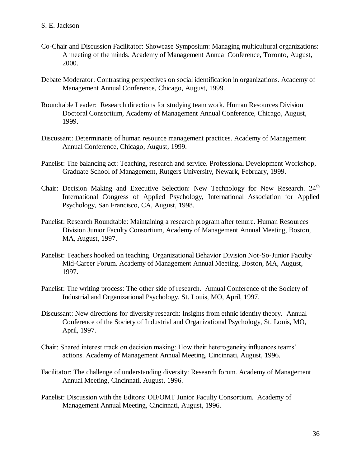- Co-Chair and Discussion Facilitator: Showcase Symposium: Managing multicultural organizations: A meeting of the minds. Academy of Management Annual Conference, Toronto, August, 2000.
- Debate Moderator: Contrasting perspectives on social identification in organizations. Academy of Management Annual Conference, Chicago, August, 1999.
- Roundtable Leader: Research directions for studying team work. Human Resources Division Doctoral Consortium, Academy of Management Annual Conference, Chicago, August, 1999.
- Discussant: Determinants of human resource management practices. Academy of Management Annual Conference, Chicago, August, 1999.
- Panelist: The balancing act: Teaching, research and service. Professional Development Workshop, Graduate School of Management, Rutgers University, Newark, February, 1999.
- Chair: Decision Making and Executive Selection: New Technology for New Research. 24<sup>th</sup> International Congress of Applied Psychology, International Association for Applied Psychology, San Francisco, CA, August, 1998.
- Panelist: Research Roundtable: Maintaining a research program after tenure. Human Resources Division Junior Faculty Consortium, Academy of Management Annual Meeting, Boston, MA, August, 1997.
- Panelist: Teachers hooked on teaching. Organizational Behavior Division Not-So-Junior Faculty Mid-Career Forum. Academy of Management Annual Meeting, Boston, MA, August, 1997.
- Panelist: The writing process: The other side of research. Annual Conference of the Society of Industrial and Organizational Psychology, St. Louis, MO, April, 1997.
- Discussant: New directions for diversity research: Insights from ethnic identity theory. Annual Conference of the Society of Industrial and Organizational Psychology, St. Louis, MO, April, 1997.
- Chair: Shared interest track on decision making: How their heterogeneity influences teams' actions. Academy of Management Annual Meeting, Cincinnati, August, 1996.
- Facilitator: The challenge of understanding diversity: Research forum. Academy of Management Annual Meeting, Cincinnati, August, 1996.
- Panelist: Discussion with the Editors: OB/OMT Junior Faculty Consortium. Academy of Management Annual Meeting, Cincinnati, August, 1996.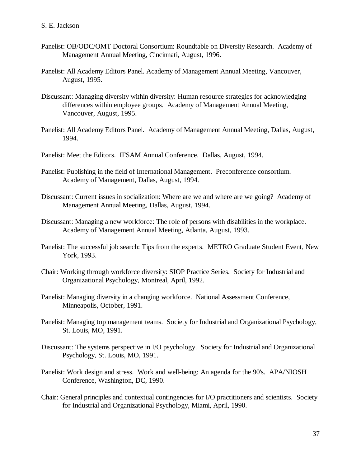- Panelist: OB/ODC/OMT Doctoral Consortium: Roundtable on Diversity Research. Academy of Management Annual Meeting, Cincinnati, August, 1996.
- Panelist: All Academy Editors Panel. Academy of Management Annual Meeting, Vancouver, August, 1995.
- Discussant: Managing diversity within diversity: Human resource strategies for acknowledging differences within employee groups. Academy of Management Annual Meeting, Vancouver, August, 1995.
- Panelist: All Academy Editors Panel. Academy of Management Annual Meeting, Dallas, August, 1994.
- Panelist: Meet the Editors. IFSAM Annual Conference. Dallas, August, 1994.
- Panelist: Publishing in the field of International Management. Preconference consortium. Academy of Management, Dallas, August, 1994.
- Discussant: Current issues in socialization: Where are we and where are we going? Academy of Management Annual Meeting, Dallas, August, 1994.
- Discussant: Managing a new workforce: The role of persons with disabilities in the workplace. Academy of Management Annual Meeting, Atlanta, August, 1993.
- Panelist: The successful job search: Tips from the experts. METRO Graduate Student Event, New York, 1993.
- Chair: Working through workforce diversity: SIOP Practice Series. Society for Industrial and Organizational Psychology, Montreal, April, 1992.
- Panelist: Managing diversity in a changing workforce. National Assessment Conference, Minneapolis, October, 1991.
- Panelist: Managing top management teams. Society for Industrial and Organizational Psychology, St. Louis, MO, 1991.
- Discussant: The systems perspective in I/O psychology. Society for Industrial and Organizational Psychology, St. Louis, MO, 1991.
- Panelist: Work design and stress. Work and well-being: An agenda for the 90's. APA/NIOSH Conference, Washington, DC, 1990.
- Chair: General principles and contextual contingencies for I/O practitioners and scientists. Society for Industrial and Organizational Psychology, Miami, April, 1990.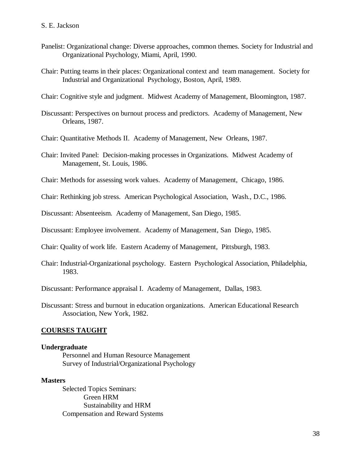- Panelist: Organizational change: Diverse approaches, common themes. Society for Industrial and Organizational Psychology, Miami, April, 1990.
- Chair: Putting teams in their places: Organizational context and team management. Society for Industrial and Organizational Psychology, Boston, April, 1989.

Chair: Cognitive style and judgment. Midwest Academy of Management, Bloomington, 1987.

- Discussant: Perspectives on burnout process and predictors. Academy of Management, New Orleans, 1987.
- Chair: Quantitative Methods II. Academy of Management, New Orleans, 1987.
- Chair: Invited Panel: Decision-making processes in Organizations. Midwest Academy of Management, St. Louis, 1986.
- Chair: Methods for assessing work values. Academy of Management, Chicago, 1986.

Chair: Rethinking job stress. American Psychological Association, Wash., D.C., 1986.

Discussant: Absenteeism. Academy of Management, San Diego, 1985.

Discussant: Employee involvement. Academy of Management, San Diego, 1985.

Chair: Quality of work life. Eastern Academy of Management, Pittsburgh, 1983.

Chair: Industrial-Organizational psychology. Eastern Psychological Association, Philadelphia, 1983.

Discussant: Performance appraisal I. Academy of Management, Dallas, 1983.

Discussant: Stress and burnout in education organizations. American Educational Research Association, New York, 1982.

#### **COURSES TAUGHT**

#### **Undergraduate**

Personnel and Human Resource Management Survey of Industrial/Organizational Psychology

#### **Masters**

Selected Topics Seminars: Green HRM Sustainability and HRM Compensation and Reward Systems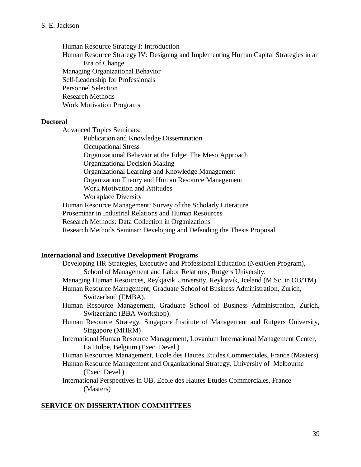Human Resource Strategy I: Introduction Human Resource Strategy IV: Designing and Implementing Human Capital Strategies in an Era of Change Managing Organizational Behavior Self-Leadership for Professionals Personnel Selection Research Methods Work Motivation Programs

#### **Doctoral**

Advanced Topics Seminars:

Publication and Knowledge Dissemination Occupational Stress Organizational Behavior at the Edge: The Meso Approach Organizational Decision Making Organizational Learning and Knowledge Management Organization Theory and Human Resource Management Work Motivation and Attitudes Workplace Diversity Human Resource Management: Survey of the Scholarly Literature Proseminar in Industrial Relations and Human Resources Research Methods: Data Collection in Organizations Research Methods Seminar: Developing and Defending the Thesis Proposal

#### **International and Executive Development Programs**

| Developing HR Strategies, Executive and Professional Education (NextGen Program),   |
|-------------------------------------------------------------------------------------|
| School of Management and Labor Relations, Rutgers University.                       |
| Managing Human Resources, Reykjavik University, Reykjavik, Iceland (M.Sc. in OB/TM) |
| Human Resource Management, Graduate School of Business Administration, Zurich,      |
| Switzerland (EMBA).                                                                 |
| Human Resource Management, Graduate School of Business Administration, Zurich,      |
| Switzerland (BBA Workshop).                                                         |
| Human Resource Strategy, Singapore Institute of Management and Rutgers University,  |
| Singapore (MHRM)                                                                    |
| International Human Resource Management, Lovanium International Management Center,  |
| La Hulpe, Belgium (Exec. Devel.)                                                    |
| Human Resources Management, Ecole des Hautes Etudes Commerciales, France (Masters)  |
| Human Resource Management and Organizational Strategy, University of Melbourne      |
| (Exec. Devel.)                                                                      |
| International Perspectives in OB, Ecole des Hautes Etudes Commerciales, France      |

# **SERVICE ON DISSERTATION COMMITTEES**

(Masters)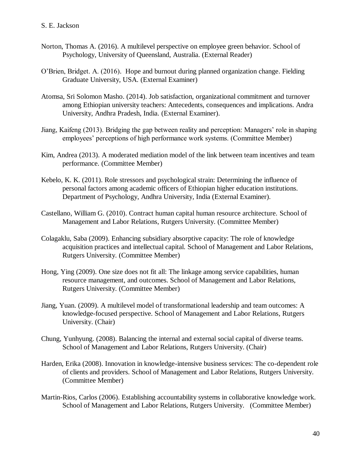- Norton, Thomas A. (2016). A multilevel perspective on employee green behavior. School of Psychology, University of Queensland, Australia. (External Reader)
- O'Brien, Bridget. A. (2016). Hope and burnout during planned organization change. Fielding Graduate University, USA. (External Examiner)
- Atomsa, Sri Solomon Masho. (2014). Job satisfaction, organizational commitment and turnover among Ethiopian university teachers: Antecedents, consequences and implications. Andra University, Andhra Pradesh, India. (External Examiner).
- Jiang, Kaifeng (2013). Bridging the gap between reality and perception: Managers' role in shaping employees' perceptions of high performance work systems. (Committee Member)
- Kim, Andrea (2013). A moderated mediation model of the link between team incentives and team performance. (Committee Member)
- Kebelo, K. K. (2011). Role stressors and psychological strain: Determining the influence of personal factors among academic officers of Ethiopian higher education institutions. Department of Psychology, Andhra University, India (External Examiner).
- Castellano, William G. (2010). Contract human capital human resource architecture. School of Management and Labor Relations, Rutgers University. (Committee Member)
- Colagaklu, Saba (2009). Enhancing subsidiary absorptive capacity: The role of knowledge acquisition practices and intellectual capital. School of Management and Labor Relations, Rutgers University. (Committee Member)
- Hong, Ying (2009). One size does not fit all: The linkage among service capabilities, human resource management, and outcomes. School of Management and Labor Relations, Rutgers University. (Committee Member)
- Jiang, Yuan. (2009). A multilevel model of transformational leadership and team outcomes: A knowledge-focused perspective. School of Management and Labor Relations, Rutgers University. (Chair)
- Chung, Yunhyung. (2008). Balancing the internal and external social capital of diverse teams. School of Management and Labor Relations, Rutgers University. (Chair)
- Harden, Erika (2008). Innovation in knowledge-intensive business services: The co-dependent role of clients and providers. School of Management and Labor Relations, Rutgers University. (Committee Member)
- Martin-Rios, Carlos (2006). Establishing accountability systems in collaborative knowledge work. School of Management and Labor Relations, Rutgers University. (Committee Member)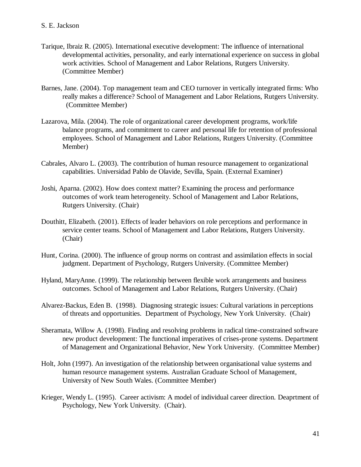- Tarique, Ibraiz R. (2005). International executive development: The influence of international developmental activities, personality, and early international experience on success in global work activities. School of Management and Labor Relations, Rutgers University. (Committee Member)
- Barnes, Jane. (2004). Top management team and CEO turnover in vertically integrated firms: Who really makes a difference? School of Management and Labor Relations, Rutgers University. (Committee Member)
- Lazarova, Mila. (2004). The role of organizational career development programs, work/life balance programs, and commitment to career and personal life for retention of professional employees. School of Management and Labor Relations, Rutgers University. (Committee Member)
- Cabrales, Alvaro L. (2003). The contribution of human resource management to organizational capabilities. Universidad Pablo de Olavide, Sevilla, Spain. (External Examiner)
- Joshi, Aparna. (2002). How does context matter? Examining the process and performance outcomes of work team heterogeneity. School of Management and Labor Relations, Rutgers University. (Chair)
- Douthitt, Elizabeth. (2001). Effects of leader behaviors on role perceptions and performance in service center teams. School of Management and Labor Relations, Rutgers University. (Chair)
- Hunt, Corina. (2000). The influence of group norms on contrast and assimilation effects in social judgment. Department of Psychology, Rutgers University. (Committee Member)
- Hyland, MaryAnne. (1999). The relationship between flexible work arrangements and business outcomes. School of Management and Labor Relations, Rutgers University. (Chair)
- Alvarez-Backus, Eden B. (1998). Diagnosing strategic issues: Cultural variations in perceptions of threats and opportunities. Department of Psychology, New York University. (Chair)
- Sheramata, Willow A. (1998). Finding and resolving problems in radical time-constrained software new product development: The functional imperatives of crises-prone systems. Department of Management and Organizational Behavior, New York University. (Committee Member)
- Holt, John (1997). An investigation of the relationship between organisational value systems and human resource management systems. Australian Graduate School of Management, University of New South Wales. (Committee Member)
- Krieger, Wendy L. (1995). Career activism: A model of individual career direction. Deaprtment of Psychology, New York University. (Chair).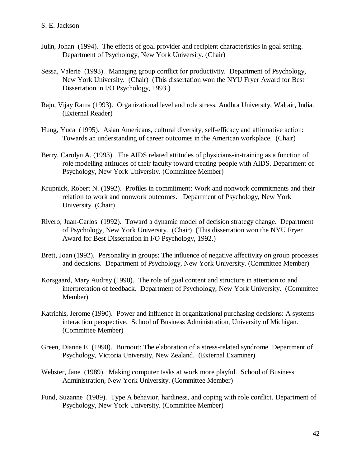- Julin, Johan (1994). The effects of goal provider and recipient characteristics in goal setting. Department of Psychology, New York University. (Chair)
- Sessa, Valerie (1993). Managing group conflict for productivity. Department of Psychology, New York University. (Chair) (This dissertation won the NYU Fryer Award for Best Dissertation in I/O Psychology, 1993.)
- Raju, Vijay Rama (1993). Organizational level and role stress. Andhra University, Waltair, India. (External Reader)
- Hung, Yuca (1995). Asian Americans, cultural diversity, self-efficacy and affirmative action: Towards an understanding of career outcomes in the American workplace. (Chair)
- Berry, Carolyn A. (1993). The AIDS related attitudes of physicians-in-training as a function of role modelling attitudes of their faculty toward treating people with AIDS. Department of Psychology, New York University. (Committee Member)
- Krupnick, Robert N. (1992). Profiles in commitment: Work and nonwork commitments and their relation to work and nonwork outcomes. Department of Psychology, New York University. (Chair)
- Rivero, Juan-Carlos (1992). Toward a dynamic model of decision strategy change. Department of Psychology, New York University. (Chair) (This dissertation won the NYU Fryer Award for Best Dissertation in I/O Psychology, 1992.)
- Brett, Joan (1992). Personality in groups: The influence of negative affectivity on group processes and decisions. Department of Psychology, New York University. (Committee Member)
- Korsgaard, Mary Audrey (1990). The role of goal content and structure in attention to and interpretation of feedback. Department of Psychology, New York University. (Committee Member)
- Katrichis, Jerome (1990). Power and influence in organizational purchasing decisions: A systems interaction perspective. School of Business Administration, University of Michigan. (Committee Member)
- Green, Dianne E. (1990). Burnout: The elaboration of a stress-related syndrome. Department of Psychology, Victoria University, New Zealand. (External Examiner)
- Webster, Jane (1989). Making computer tasks at work more playful. School of Business Administration, New York University. (Committee Member)
- Fund, Suzanne (1989). Type A behavior, hardiness, and coping with role conflict. Department of Psychology, New York University. (Committee Member)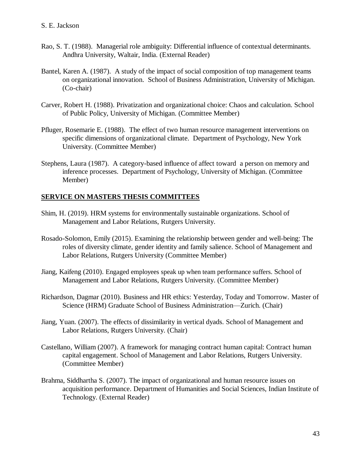- Rao, S. T. (1988). Managerial role ambiguity: Differential influence of contextual determinants. Andhra University, Waltair, India. (External Reader)
- Bantel, Karen A. (1987). A study of the impact of social composition of top management teams on organizational innovation. School of Business Administration, University of Michigan. (Co-chair)
- Carver, Robert H. (1988). Privatization and organizational choice: Chaos and calculation. School of Public Policy, University of Michigan. (Committee Member)
- Pfluger, Rosemarie E. (1988). The effect of two human resource management interventions on specific dimensions of organizational climate. Department of Psychology, New York University. (Committee Member)
- Stephens, Laura (1987). A category-based influence of affect toward a person on memory and inference processes. Department of Psychology, University of Michigan. (Committee Member)

# **SERVICE ON MASTERS THESIS COMMITTEES**

- Shim, H. (2019). HRM systems for environmentally sustainable organizations. School of Management and Labor Relations, Rutgers University.
- Rosado-Solomon, Emily (2015). Examining the relationship between gender and well-being: The roles of diversity climate, gender identity and family salience. School of Management and Labor Relations, Rutgers University (Committee Member)
- Jiang, Kaifeng (2010). Engaged employees speak up when team performance suffers. School of Management and Labor Relations, Rutgers University. (Committee Member)
- Richardson, Dagmar (2010). Business and HR ethics: Yesterday, Today and Tomorrow. Master of Science (HRM) Graduate School of Business Administration—Zurich. (Chair)
- Jiang, Yuan. (2007). The effects of dissimilarity in vertical dyads. School of Management and Labor Relations, Rutgers University. (Chair)
- Castellano, William (2007). A framework for managing contract human capital: Contract human capital engagement. School of Management and Labor Relations, Rutgers University. (Committee Member)
- Brahma, Siddhartha S. (2007). The impact of organizational and human resource issues on acquisition performance. Department of Humanities and Social Sciences, Indian Institute of Technology. (External Reader)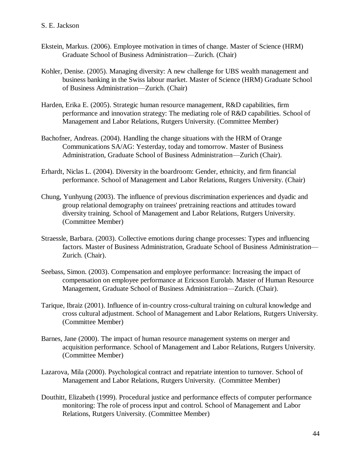- Ekstein, Markus. (2006). Employee motivation in times of change. Master of Science (HRM) Graduate School of Business Administration—Zurich. (Chair)
- Kohler, Denise. (2005). Managing diversity: A new challenge for UBS wealth management and business banking in the Swiss labour market. Master of Science (HRM) Graduate School of Business Administration—Zurich. (Chair)
- Harden, Erika E. (2005). Strategic human resource management, R&D capabilities, firm performance and innovation strategy: The mediating role of R&D capabilities. School of Management and Labor Relations, Rutgers University. (Committee Member)
- Bachofner, Andreas. (2004). Handling the change situations with the HRM of Orange Communications SA/AG: Yesterday, today and tomorrow. Master of Business Administration, Graduate School of Business Administration—Zurich (Chair).
- Erhardt, Niclas L. (2004). Diversity in the boardroom: Gender, ethnicity, and firm financial performance. School of Management and Labor Relations, Rutgers University. (Chair)
- Chung, Yunhyung (2003). The influence of previous discrimination experiences and dyadic and group relational demography on trainees' pretraining reactions and attitudes toward diversity training. School of Management and Labor Relations, Rutgers University. (Committee Member)
- Straessle, Barbara. (2003). Collective emotions during change processes: Types and influencing factors. Master of Business Administration, Graduate School of Business Administration— Zurich. (Chair).
- Seebass, Simon. (2003). Compensation and employee performance: Increasing the impact of compensation on employee performance at Ericsson Eurolab. Master of Human Resource Management, Graduate School of Business Administration—Zurich. (Chair).
- Tarique, Ibraiz (2001). Influence of in-country cross-cultural training on cultural knowledge and cross cultural adjustment. School of Management and Labor Relations, Rutgers University. (Committee Member)
- Barnes, Jane (2000). The impact of human resource management systems on merger and acquisition performance. School of Management and Labor Relations, Rutgers University. (Committee Member)
- Lazarova, Mila (2000). Psychological contract and repatriate intention to turnover. School of Management and Labor Relations, Rutgers University. (Committee Member)
- Douthitt, Elizabeth (1999). Procedural justice and performance effects of computer performance monitoring: The role of process input and control. School of Management and Labor Relations, Rutgers University. (Committee Member)